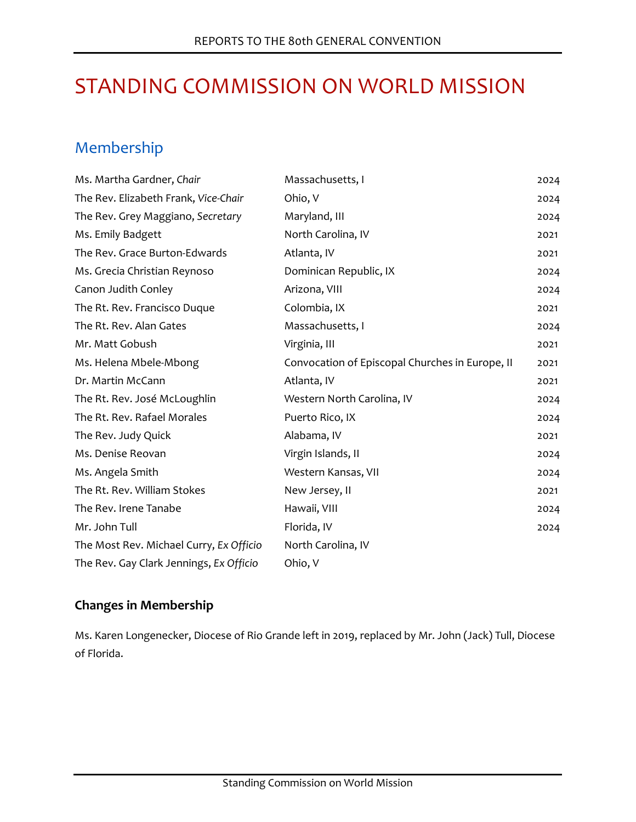# STANDING COMMISSION ON WORLD MISSION

# Membership

| Ms. Martha Gardner, Chair               | Massachusetts, I                                | 2024 |
|-----------------------------------------|-------------------------------------------------|------|
| The Rev. Elizabeth Frank, Vice-Chair    | Ohio, V                                         | 2024 |
| The Rev. Grey Maggiano, Secretary       | Maryland, III                                   | 2024 |
| Ms. Emily Badgett                       | North Carolina, IV                              | 2021 |
| The Rev. Grace Burton-Edwards           | Atlanta, IV                                     | 2021 |
| Ms. Grecia Christian Reynoso            | Dominican Republic, IX                          | 2024 |
| Canon Judith Conley                     | Arizona, VIII                                   | 2024 |
| The Rt. Rev. Francisco Duque            | Colombia, IX                                    | 2021 |
| The Rt. Rev. Alan Gates                 | Massachusetts, I                                | 2024 |
| Mr. Matt Gobush                         | Virginia, III                                   | 2021 |
| Ms. Helena Mbele-Mbong                  | Convocation of Episcopal Churches in Europe, II | 2021 |
| Dr. Martin McCann                       | Atlanta, IV                                     | 2021 |
| The Rt. Rev. José McLoughlin            | Western North Carolina, IV                      | 2024 |
| The Rt. Rev. Rafael Morales             | Puerto Rico, IX                                 | 2024 |
| The Rev. Judy Quick                     | Alabama, IV                                     | 2021 |
| Ms. Denise Reovan                       | Virgin Islands, II                              | 2024 |
| Ms. Angela Smith                        | Western Kansas, VII                             | 2024 |
| The Rt. Rev. William Stokes             | New Jersey, II                                  | 2021 |
| The Rev. Irene Tanabe                   | Hawaii, VIII                                    | 2024 |
| Mr. John Tull                           | Florida, IV                                     | 2024 |
| The Most Rev. Michael Curry, Ex Officio | North Carolina, IV                              |      |
| The Rev. Gay Clark Jennings, Ex Officio | Ohio, V                                         |      |

# **Changes in Membership**

Ms. Karen Longenecker, Diocese of Rio Grande left in 2019, replaced by Mr. John (Jack) Tull, Diocese of Florida.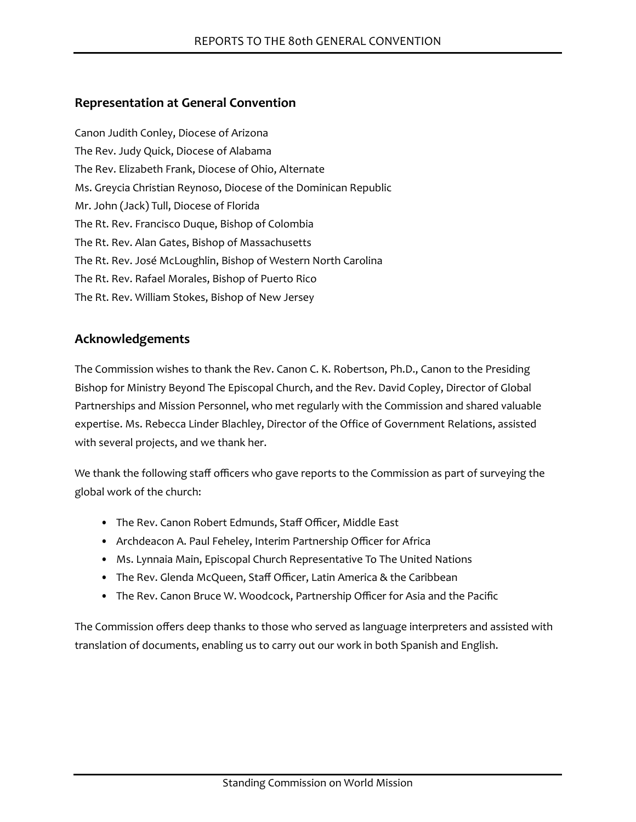# **Representation at General Convention**

Canon Judith Conley, Diocese of Arizona The Rev. Judy Quick, Diocese of Alabama The Rev. Elizabeth Frank, Diocese of Ohio, Alternate Ms. Greycia Christian Reynoso, Diocese of the Dominican Republic Mr. John (Jack) Tull, Diocese of Florida The Rt. Rev. Francisco Duque, Bishop of Colombia The Rt. Rev. Alan Gates, Bishop of Massachusetts The Rt. Rev. José McLoughlin, Bishop of Western North Carolina The Rt. Rev. Rafael Morales, Bishop of Puerto Rico The Rt. Rev. William Stokes, Bishop of New Jersey

# **Acknowledgements**

The Commission wishes to thank the Rev. Canon C. K. Robertson, Ph.D., Canon to the Presiding Bishop for Ministry Beyond The Episcopal Church, and the Rev. David Copley, Director of Global Partnerships and Mission Personnel, who met regularly with the Commission and shared valuable expertise. Ms. Rebecca Linder Blachley, Director of the Office of Government Relations, assisted with several projects, and we thank her.

We thank the following staff officers who gave reports to the Commission as part of surveying the global work of the church:

- The Rev. Canon Robert Edmunds, Staff Officer, Middle East
- Archdeacon A. Paul Feheley, Interim Partnership Officer for Africa
- Ms. Lynnaia Main, Episcopal Church Representative To The United Nations
- The Rev. Glenda McQueen, Staff Officer, Latin America & the Caribbean
- The Rev. Canon Bruce W. Woodcock, Partnership Officer for Asia and the Pacific

The Commission offers deep thanks to those who served as language interpreters and assisted with translation of documents, enabling us to carry out our work in both Spanish and English.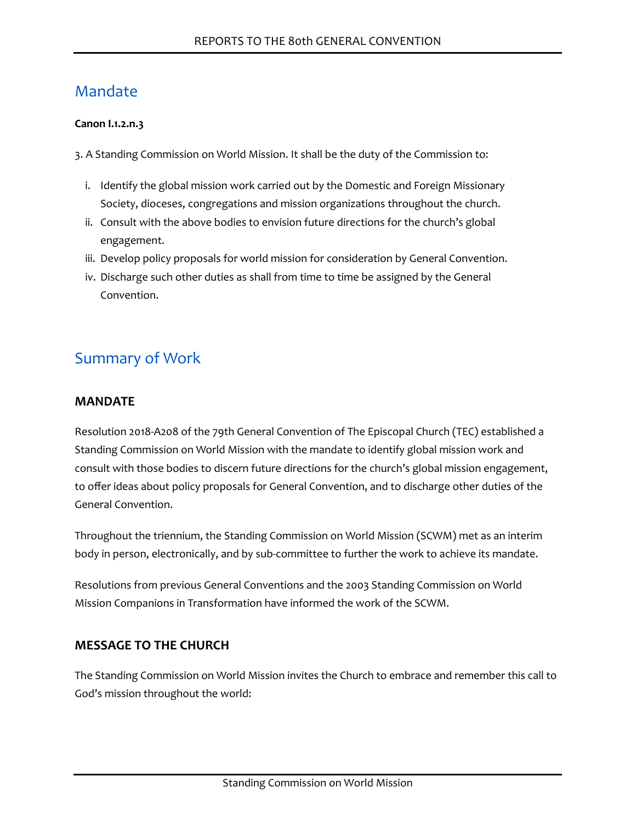# Mandate

#### **Canon I.1.2.n.3**

3. A Standing Commission on World Mission. It shall be the duty of the Commission to:

- i. Identify the global mission work carried out by the Domestic and Foreign Missionary Society, dioceses, congregations and mission organizations throughout the church.
- ii. Consult with the above bodies to envision future directions for the church's global engagement.
- iii. Develop policy proposals for world mission for consideration by General Convention.
- iv. Discharge such other duties as shall from time to time be assigned by the General Convention.

# Summary of Work

### **MANDATE**

Resolution 2018-A208 of the 79th General Convention of The Episcopal Church (TEC) established a Standing Commission on World Mission with the mandate to identify global mission work and consult with those bodies to discern future directions for the church's global mission engagement, to offer ideas about policy proposals for General Convention, and to discharge other duties of the General Convention.

Throughout the triennium, the Standing Commission on World Mission (SCWM) met as an interim body in person, electronically, and by sub-committee to further the work to achieve its mandate.

Resolutions from previous General Conventions and the 2003 Standing Commission on World Mission Companions in Transformation have informed the work of the SCWM.

# **MESSAGE TO THE CHURCH**

The Standing Commission on World Mission invites the Church to embrace and remember this call to God's mission throughout the world: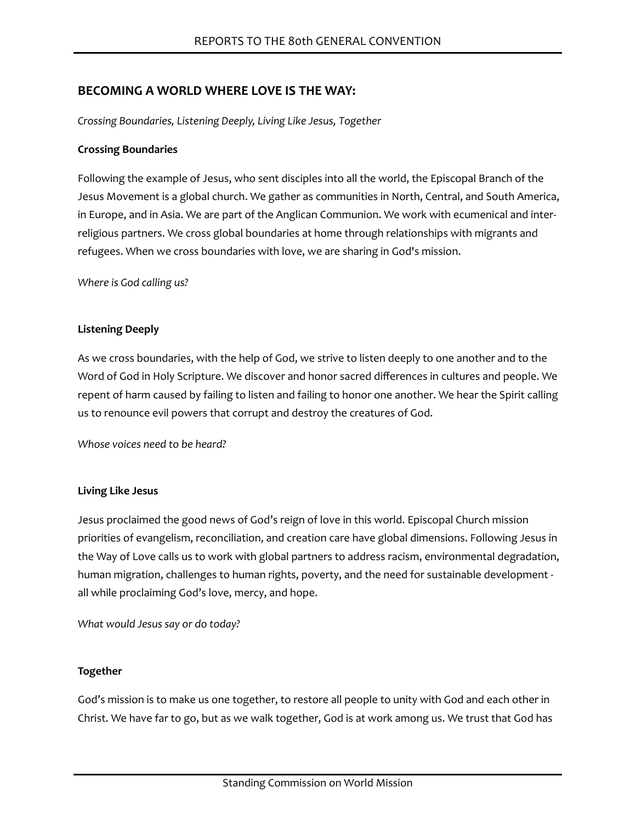### **BECOMING A WORLD WHERE LOVE IS THE WAY:**

*Crossing Boundaries, Listening Deeply, Living Like Jesus, Together*

#### **Crossing Boundaries**

Following the example of Jesus, who sent disciples into all the world, the Episcopal Branch of the Jesus Movement is a global church. We gather as communities in North, Central, and South America, in Europe, and in Asia. We are part of the Anglican Communion. We work with ecumenical and interreligious partners. We cross global boundaries at home through relationships with migrants and refugees. When we cross boundaries with love, we are sharing in God's mission.

*Where is God calling us?*

#### **Listening Deeply**

As we cross boundaries, with the help of God, we strive to listen deeply to one another and to the Word of God in Holy Scripture. We discover and honor sacred differences in cultures and people. We repent of harm caused by failing to listen and failing to honor one another. We hear the Spirit calling us to renounce evil powers that corrupt and destroy the creatures of God.

*Whose voices need to be heard?*

#### **Living Like Jesus**

Jesus proclaimed the good news of God's reign of love in this world. Episcopal Church mission priorities of evangelism, reconciliation, and creation care have global dimensions. Following Jesus in the Way of Love calls us to work with global partners to address racism, environmental degradation, human migration, challenges to human rights, poverty, and the need for sustainable development all while proclaiming God's love, mercy, and hope.

*What would Jesus say or do today?*

#### **Together**

God's mission is to make us one together, to restore all people to unity with God and each other in Christ. We have far to go, but as we walk together, God is at work among us. We trust that God has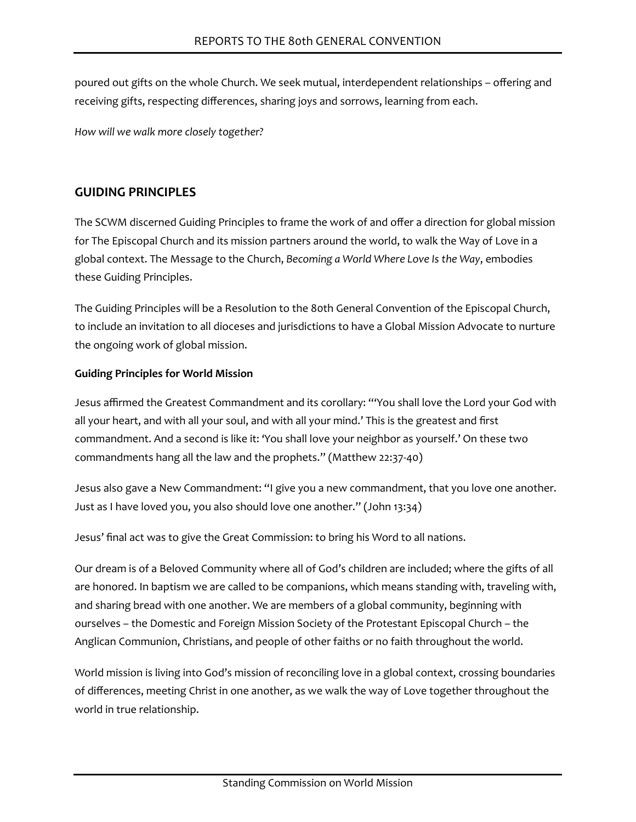poured out gifts on the whole Church. We seek mutual, interdependent relationships – offering and receiving gifts, respecting differences, sharing joys and sorrows, learning from each.

*How will we walk more closely together?*

# **GUIDING PRINCIPLES**

The SCWM discerned Guiding Principles to frame the work of and offer a direction for global mission for The Episcopal Church and its mission partners around the world, to walk the Way of Love in a global context. The Message to the Church, *Becoming a World Where Love Is the Way*, embodies these Guiding Principles.

The Guiding Principles will be a Resolution to the 80th General Convention of the Episcopal Church, to include an invitation to all dioceses and jurisdictions to have a Global Mission Advocate to nurture the ongoing work of global mission.

### **Guiding Principles for World Mission**

Jesus affirmed the Greatest Commandment and its corollary: "'You shall love the Lord your God with all your heart, and with all your soul, and with all your mind.' This is the greatest and first commandment. And a second is like it: 'You shall love your neighbor as yourself.' On these two commandments hang all the law and the prophets." (Matthew 22:37-40)

Jesus also gave a New Commandment: "I give you a new commandment, that you love one another. Just as I have loved you, you also should love one another." (John 13:34)

Jesus' final act was to give the Great Commission: to bring his Word to all nations.

Our dream is of a Beloved Community where all of God's children are included; where the gifts of all are honored. In baptism we are called to be companions, which means standing with, traveling with, and sharing bread with one another. We are members of a global community, beginning with ourselves – the Domestic and Foreign Mission Society of the Protestant Episcopal Church – the Anglican Communion, Christians, and people of other faiths or no faith throughout the world.

World mission is living into God's mission of reconciling love in a global context, crossing boundaries of differences, meeting Christ in one another, as we walk the way of Love together throughout the world in true relationship.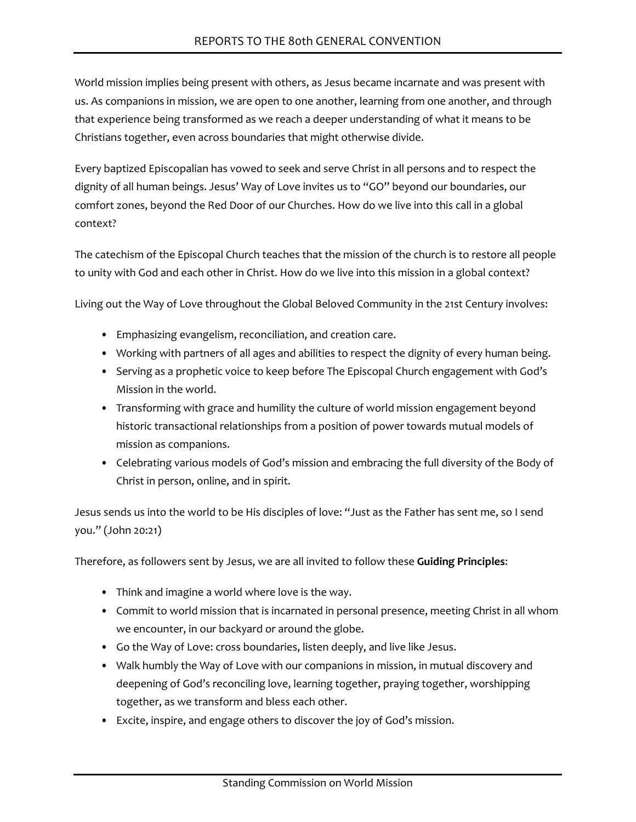World mission implies being present with others, as Jesus became incarnate and was present with us. As companions in mission, we are open to one another, learning from one another, and through that experience being transformed as we reach a deeper understanding of what it means to be Christians together, even across boundaries that might otherwise divide.

Every baptized Episcopalian has vowed to seek and serve Christ in all persons and to respect the dignity of all human beings. Jesus' Way of Love invites us to "GO" beyond our boundaries, our comfort zones, beyond the Red Door of our Churches. How do we live into this call in a global context?

The catechism of the Episcopal Church teaches that the mission of the church is to restore all people to unity with God and each other in Christ. How do we live into this mission in a global context?

Living out the Way of Love throughout the Global Beloved Community in the 21st Century involves:

- Emphasizing evangelism, reconciliation, and creation care.
- Working with partners of all ages and abilities to respect the dignity of every human being.
- Serving as a prophetic voice to keep before The Episcopal Church engagement with God's Mission in the world.
- Transforming with grace and humility the culture of world mission engagement beyond historic transactional relationships from a position of power towards mutual models of mission as companions.
- Celebrating various models of God's mission and embracing the full diversity of the Body of Christ in person, online, and in spirit.

Jesus sends us into the world to be His disciples of love: "Just as the Father has sent me, so I send you." (John 20:21)

Therefore, as followers sent by Jesus, we are all invited to follow these **Guiding Principles**:

- Think and imagine a world where love is the way.
- Commit to world mission that is incarnated in personal presence, meeting Christ in all whom we encounter, in our backyard or around the globe.
- Go the Way of Love: cross boundaries, listen deeply, and live like Jesus.
- Walk humbly the Way of Love with our companions in mission, in mutual discovery and deepening of God's reconciling love, learning together, praying together, worshipping together, as we transform and bless each other.
- Excite, inspire, and engage others to discover the joy of God's mission.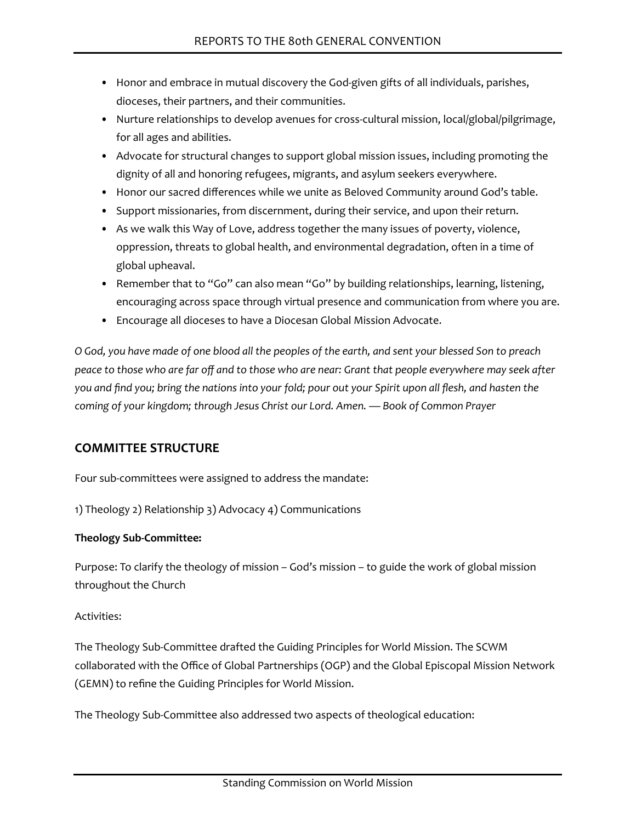- Honor and embrace in mutual discovery the God-given gifts of all individuals, parishes, dioceses, their partners, and their communities.
- Nurture relationships to develop avenues for cross-cultural mission, local/global/pilgrimage, for all ages and abilities.
- Advocate for structural changes to support global mission issues, including promoting the dignity of all and honoring refugees, migrants, and asylum seekers everywhere.
- Honor our sacred differences while we unite as Beloved Community around God's table.
- Support missionaries, from discernment, during their service, and upon their return.
- As we walk this Way of Love, address together the many issues of poverty, violence, oppression, threats to global health, and environmental degradation, often in a time of global upheaval.
- Remember that to "Go" can also mean "Go" by building relationships, learning, listening, encouraging across space through virtual presence and communication from where you are.
- Encourage all dioceses to have a Diocesan Global Mission Advocate.

*O God, you have made of one blood all the peoples of the earth, and sent your blessed Son to preach peace to those who are far off and to those who are near: Grant that people everywhere may seek after you and find you; bring the nations into your fold; pour out your Spirit upon all flesh, and hasten the coming of your kingdom; through Jesus Christ our Lord. Amen. — Book of Common Prayer*

# **COMMITTEE STRUCTURE**

Four sub-committees were assigned to address the mandate:

1) Theology 2) Relationship 3) Advocacy 4) Communications

#### **Theology Sub-Committee:**

Purpose: To clarify the theology of mission – God's mission – to guide the work of global mission throughout the Church

#### Activities:

The Theology Sub-Committee drafted the Guiding Principles for World Mission. The SCWM collaborated with the Office of Global Partnerships (OGP) and the Global Episcopal Mission Network (GEMN) to refine the Guiding Principles for World Mission.

The Theology Sub-Committee also addressed two aspects of theological education: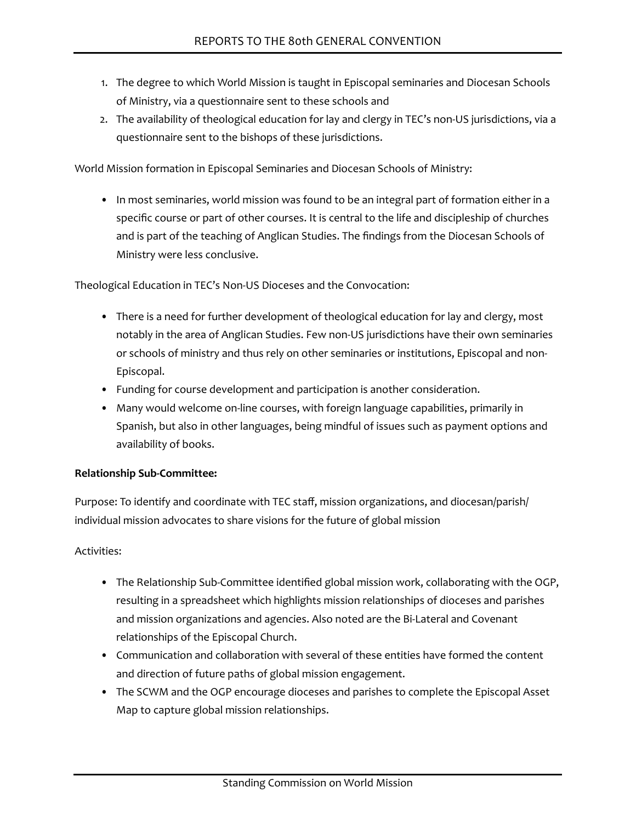- 1. The degree to which World Mission is taught in Episcopal seminaries and Diocesan Schools of Ministry, via a questionnaire sent to these schools and
- 2. The availability of theological education for lay and clergy in TEC's non-US jurisdictions, via a questionnaire sent to the bishops of these jurisdictions.

World Mission formation in Episcopal Seminaries and Diocesan Schools of Ministry:

• In most seminaries, world mission was found to be an integral part of formation either in a specific course or part of other courses. It is central to the life and discipleship of churches and is part of the teaching of Anglican Studies. The findings from the Diocesan Schools of Ministry were less conclusive.

Theological Education in TEC's Non-US Dioceses and the Convocation:

- There is a need for further development of theological education for lay and clergy, most notably in the area of Anglican Studies. Few non-US jurisdictions have their own seminaries or schools of ministry and thus rely on other seminaries or institutions, Episcopal and non-Episcopal.
- Funding for course development and participation is another consideration.
- Many would welcome on-line courses, with foreign language capabilities, primarily in Spanish, but also in other languages, being mindful of issues such as payment options and availability of books.

#### **Relationship Sub-Committee:**

Purpose: To identify and coordinate with TEC staff, mission organizations, and diocesan/parish/ individual mission advocates to share visions for the future of global mission

#### Activities:

- The Relationship Sub-Committee identified global mission work, collaborating with the OGP, resulting in a spreadsheet which highlights mission relationships of dioceses and parishes and mission organizations and agencies. Also noted are the Bi-Lateral and Covenant relationships of the Episcopal Church.
- Communication and collaboration with several of these entities have formed the content and direction of future paths of global mission engagement.
- The SCWM and the OGP encourage dioceses and parishes to complete the Episcopal Asset Map to capture global mission relationships.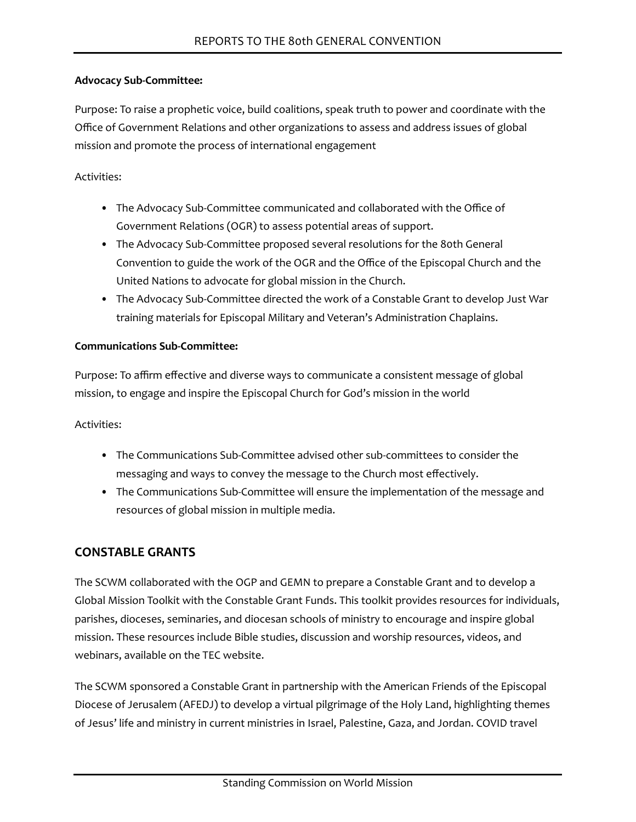#### **Advocacy Sub-Committee:**

Purpose: To raise a prophetic voice, build coalitions, speak truth to power and coordinate with the Office of Government Relations and other organizations to assess and address issues of global mission and promote the process of international engagement

### Activities:

- The Advocacy Sub-Committee communicated and collaborated with the Office of Government Relations (OGR) to assess potential areas of support.
- The Advocacy Sub-Committee proposed several resolutions for the 80th General Convention to guide the work of the OGR and the Office of the Episcopal Church and the United Nations to advocate for global mission in the Church.
- The Advocacy Sub-Committee directed the work of a Constable Grant to develop Just War training materials for Episcopal Military and Veteran's Administration Chaplains.

#### **Communications Sub-Committee:**

Purpose: To affirm effective and diverse ways to communicate a consistent message of global mission, to engage and inspire the Episcopal Church for God's mission in the world

Activities:

- The Communications Sub-Committee advised other sub-committees to consider the messaging and ways to convey the message to the Church most effectively.
- The Communications Sub-Committee will ensure the implementation of the message and resources of global mission in multiple media.

# **CONSTABLE GRANTS**

The SCWM collaborated with the OGP and GEMN to prepare a Constable Grant and to develop a Global Mission Toolkit with the Constable Grant Funds. This toolkit provides resources for individuals, parishes, dioceses, seminaries, and diocesan schools of ministry to encourage and inspire global mission. These resources include Bible studies, discussion and worship resources, videos, and webinars, available on the TEC website.

The SCWM sponsored a Constable Grant in partnership with the American Friends of the Episcopal Diocese of Jerusalem (AFEDJ) to develop a virtual pilgrimage of the Holy Land, highlighting themes of Jesus' life and ministry in current ministries in Israel, Palestine, Gaza, and Jordan. COVID travel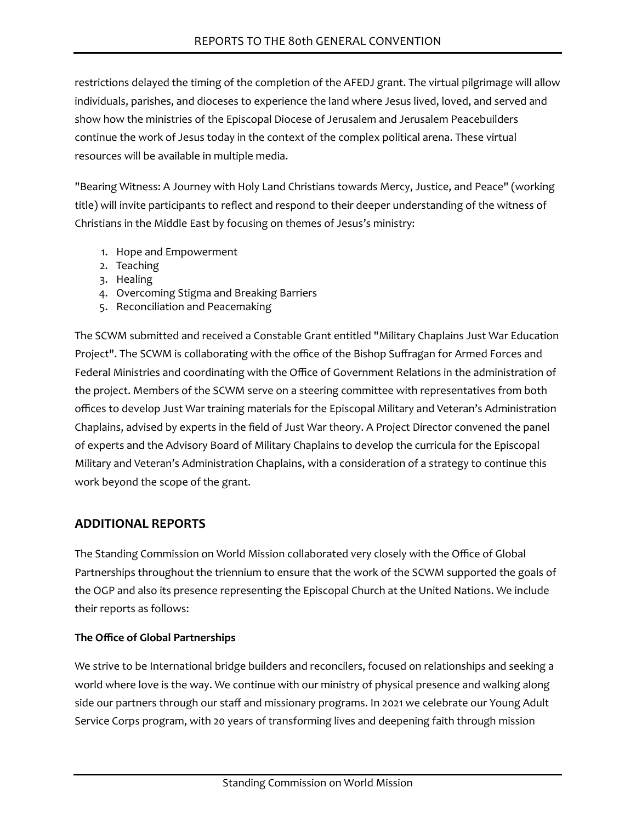restrictions delayed the timing of the completion of the AFEDJ grant. The virtual pilgrimage will allow individuals, parishes, and dioceses to experience the land where Jesus lived, loved, and served and show how the ministries of the Episcopal Diocese of Jerusalem and Jerusalem Peacebuilders continue the work of Jesus today in the context of the complex political arena. These virtual resources will be available in multiple media.

"Bearing Witness: A Journey with Holy Land Christians towards Mercy, Justice, and Peace" (working title) will invite participants to reflect and respond to their deeper understanding of the witness of Christians in the Middle East by focusing on themes of Jesus's ministry:

- 1. Hope and Empowerment
- 2. Teaching
- 3. Healing
- 4. Overcoming Stigma and Breaking Barriers
- 5. Reconciliation and Peacemaking

The SCWM submitted and received a Constable Grant entitled "Military Chaplains Just War Education Project". The SCWM is collaborating with the office of the Bishop Suffragan for Armed Forces and Federal Ministries and coordinating with the Office of Government Relations in the administration of the project. Members of the SCWM serve on a steering committee with representatives from both offices to develop Just War training materials for the Episcopal Military and Veteran's Administration Chaplains, advised by experts in the field of Just War theory. A Project Director convened the panel of experts and the Advisory Board of Military Chaplains to develop the curricula for the Episcopal Military and Veteran's Administration Chaplains, with a consideration of a strategy to continue this work beyond the scope of the grant.

# **ADDITIONAL REPORTS**

The Standing Commission on World Mission collaborated very closely with the Office of Global Partnerships throughout the triennium to ensure that the work of the SCWM supported the goals of the OGP and also its presence representing the Episcopal Church at the United Nations. We include their reports as follows:

#### **The Office of Global Partnerships**

We strive to be International bridge builders and reconcilers, focused on relationships and seeking a world where love is the way. We continue with our ministry of physical presence and walking along side our partners through our staff and missionary programs. In 2021 we celebrate our Young Adult Service Corps program, with 20 years of transforming lives and deepening faith through mission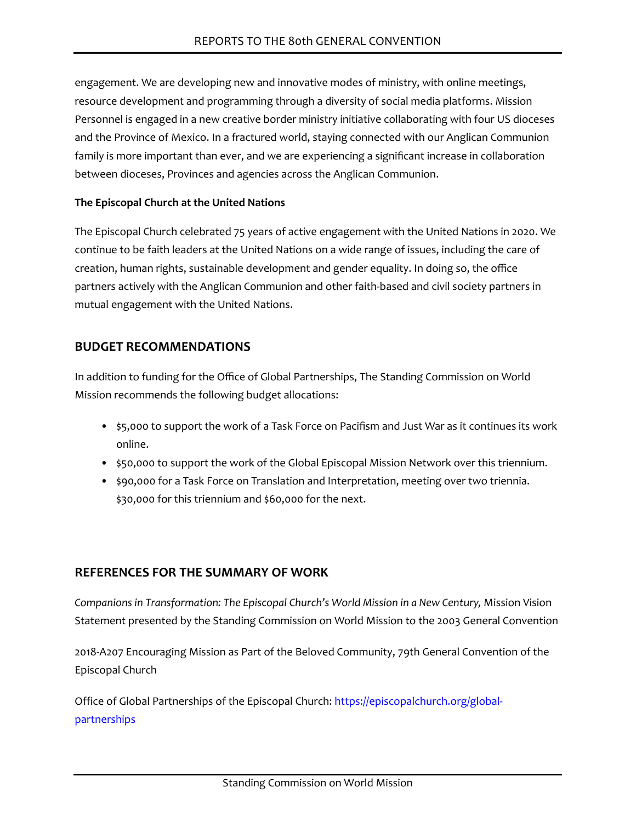engagement. We are developing new and innovative modes of ministry, with online meetings, resource development and programming through a diversity of social media platforms. Mission Personnel is engaged in a new creative border ministry initiative collaborating with four US dioceses and the Province of Mexico. In a fractured world, staying connected with our Anglican Communion family is more important than ever, and we are experiencing a significant increase in collaboration between dioceses, Provinces and agencies across the Anglican Communion.

### **The Episcopal Church at the United Nations**

The Episcopal Church celebrated 75 years of active engagement with the United Nations in 2020. We continue to be faith leaders at the United Nations on a wide range of issues, including the care of creation, human rights, sustainable development and gender equality. In doing so, the office partners actively with the Anglican Communion and other faith-based and civil society partners in mutual engagement with the United Nations.

# **BUDGET RECOMMENDATIONS**

In addition to funding for the Office of Global Partnerships, The Standing Commission on World Mission recommends the following budget allocations:

- \$5,000 to support the work of a Task Force on Pacifism and Just War as it continues its work online.
- \$50,000 to support the work of the Global Episcopal Mission Network over this triennium.
- \$90,000 for a Task Force on Translation and Interpretation, meeting over two triennia. \$30,000 for this triennium and \$60,000 for the next.

# **REFERENCES FOR THE SUMMARY OF WORK**

*Companions in Transformation: The Episcopal Church's World Mission in a New Century,* Mission Vision Statement presented by the Standing Commission on World Mission to the 2003 General Convention

2018-A207 Encouraging Mission as Part of the Beloved Community, 79th General Convention of the Episcopal Church

Office of Global Partnerships of the Episcopal Church: [https://episcopalchurch.org/global](https://episcopalchurch.org/global-partnerships)[partnerships](https://episcopalchurch.org/global-partnerships)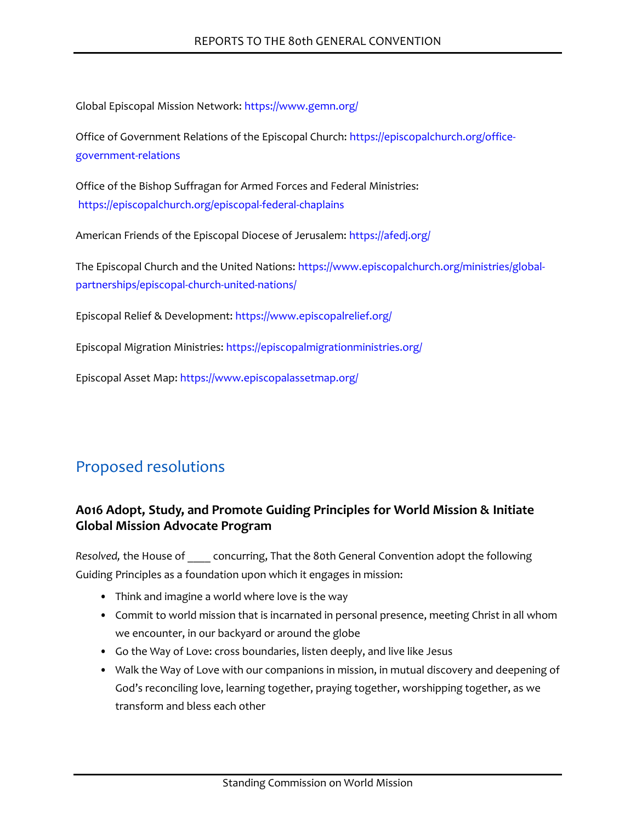Global Episcopal Mission Network:<https://www.gemn.org/>

Office of Government Relations of the Episcopal Church: [https://episcopalchurch.org/office](https://episcopalchurch.org/office-government-relations)[government-relations](https://episcopalchurch.org/office-government-relations)

Office of the Bishop Suffragan for Armed Forces and Federal Ministries: <https://episcopalchurch.org/episcopal-federal-chaplains>

American Friends of the Episcopal Diocese of Jerusalem:<https://afedj.org/>

[The Episcopal Church and the United Nations: https://www.episcopalchurch.org/ministries/global](https://www.episcopalchurch.org/ministries/global-partnerships/episcopal-church-united-nations/)partnerships/episcopal-church-united-nations/

Episcopal Relief & Development: <https://www.episcopalrelief.org/>

Episcopal Migration Ministries: <https://episcopalmigrationministries.org/>

Episcopal Asset Map: <https://www.episcopalassetmap.org/>

# Proposed resolutions

# **A016 Adopt, Study, and Promote Guiding Principles for World Mission & Initiate Global Mission Advocate Program**

*Resolved,* the House of \_\_\_\_ concurring, That the 80th General Convention adopt the following Guiding Principles as a foundation upon which it engages in mission:

- Think and imagine a world where love is the way
- Commit to world mission that is incarnated in personal presence, meeting Christ in all whom we encounter, in our backyard or around the globe
- Go the Way of Love: cross boundaries, listen deeply, and live like Jesus
- Walk the Way of Love with our companions in mission, in mutual discovery and deepening of God's reconciling love, learning together, praying together, worshipping together, as we transform and bless each other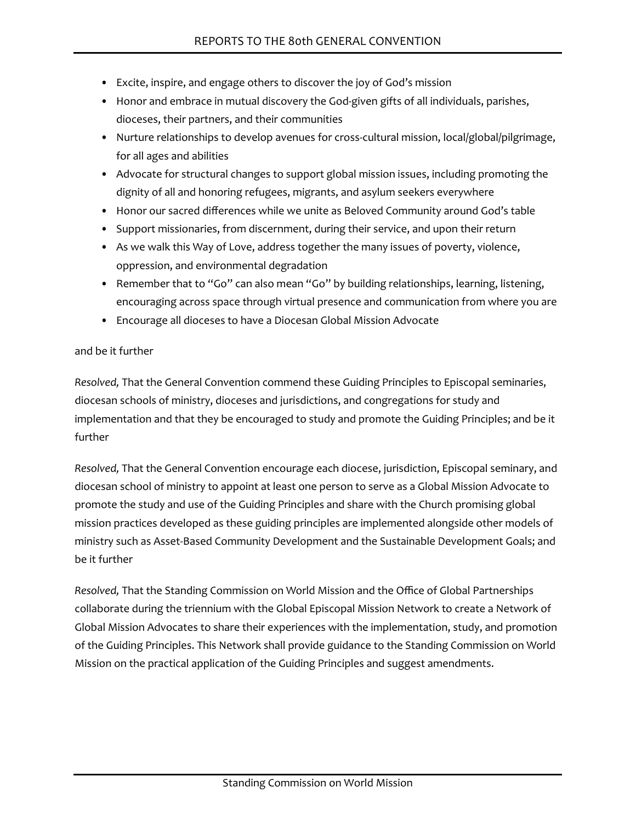- Excite, inspire, and engage others to discover the joy of God's mission
- Honor and embrace in mutual discovery the God-given gifts of all individuals, parishes, dioceses, their partners, and their communities
- Nurture relationships to develop avenues for cross-cultural mission, local/global/pilgrimage, for all ages and abilities
- Advocate for structural changes to support global mission issues, including promoting the dignity of all and honoring refugees, migrants, and asylum seekers everywhere
- Honor our sacred differences while we unite as Beloved Community around God's table
- Support missionaries, from discernment, during their service, and upon their return
- As we walk this Way of Love, address together the many issues of poverty, violence, oppression, and environmental degradation
- Remember that to "Go" can also mean "Go" by building relationships, learning, listening, encouraging across space through virtual presence and communication from where you are
- Encourage all dioceses to have a Diocesan Global Mission Advocate

#### and be it further

*Resolved,* That the General Convention commend these Guiding Principles to Episcopal seminaries, diocesan schools of ministry, dioceses and jurisdictions, and congregations for study and implementation and that they be encouraged to study and promote the Guiding Principles; and be it further

*Resolved,* That the General Convention encourage each diocese, jurisdiction, Episcopal seminary, and diocesan school of ministry to appoint at least one person to serve as a Global Mission Advocate to promote the study and use of the Guiding Principles and share with the Church promising global mission practices developed as these guiding principles are implemented alongside other models of ministry such as Asset-Based Community Development and the Sustainable Development Goals; and be it further

*Resolved,* That the Standing Commission on World Mission and the Office of Global Partnerships collaborate during the triennium with the Global Episcopal Mission Network to create a Network of Global Mission Advocates to share their experiences with the implementation, study, and promotion of the Guiding Principles. This Network shall provide guidance to the Standing Commission on World Mission on the practical application of the Guiding Principles and suggest amendments.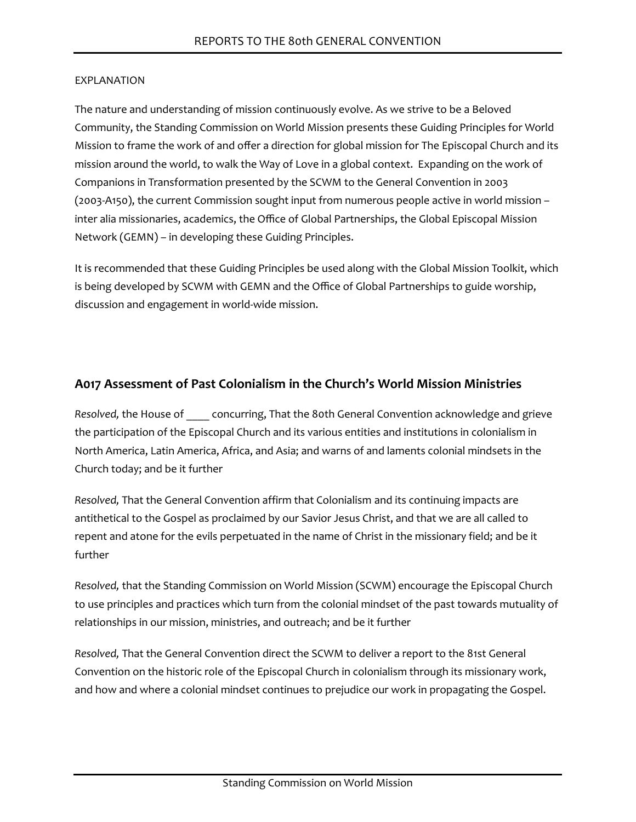The nature and understanding of mission continuously evolve. As we strive to be a Beloved Community, the Standing Commission on World Mission presents these Guiding Principles for World Mission to frame the work of and offer a direction for global mission for The Episcopal Church and its mission around the world, to walk the Way of Love in a global context. Expanding on the work of Companions in Transformation presented by the SCWM to the General Convention in 2003 (2003-A150), the current Commission sought input from numerous people active in world mission – inter alia missionaries, academics, the Office of Global Partnerships, the Global Episcopal Mission Network (GEMN) – in developing these Guiding Principles.

It is recommended that these Guiding Principles be used along with the Global Mission Toolkit, which is being developed by SCWM with GEMN and the Office of Global Partnerships to guide worship, discussion and engagement in world-wide mission.

# **A017 Assessment of Past Colonialism in the Church's World Mission Ministries**

*Resolved,* the House of \_\_\_\_ concurring, That the 80th General Convention acknowledge and grieve the participation of the Episcopal Church and its various entities and institutions in colonialism in North America, Latin America, Africa, and Asia; and warns of and laments colonial mindsets in the Church today; and be it further

*Resolved,* That the General Convention affirm that Colonialism and its continuing impacts are antithetical to the Gospel as proclaimed by our Savior Jesus Christ, and that we are all called to repent and atone for the evils perpetuated in the name of Christ in the missionary field; and be it further

*Resolved,* that the Standing Commission on World Mission (SCWM) encourage the Episcopal Church to use principles and practices which turn from the colonial mindset of the past towards mutuality of relationships in our mission, ministries, and outreach; and be it further

*Resolved,* That the General Convention direct the SCWM to deliver a report to the 81st General Convention on the historic role of the Episcopal Church in colonialism through its missionary work, and how and where a colonial mindset continues to prejudice our work in propagating the Gospel.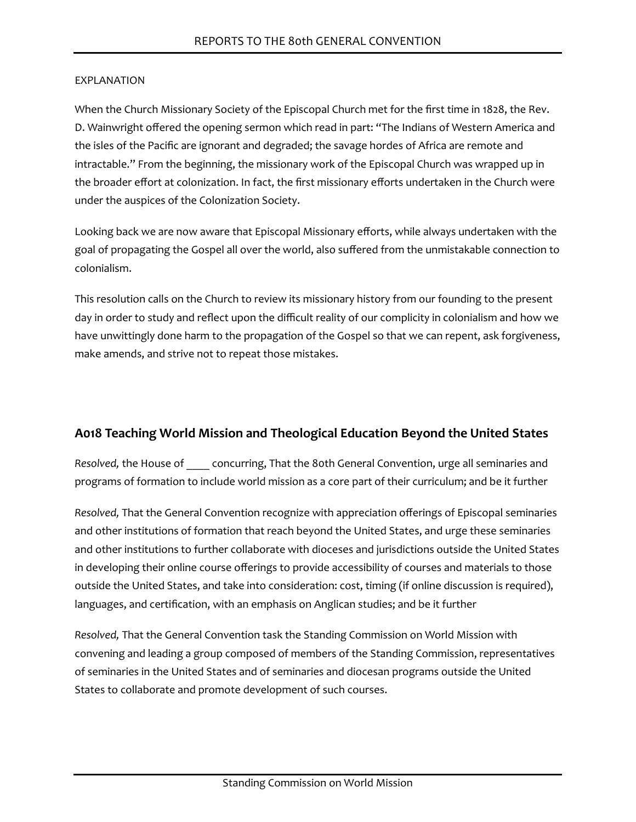When the Church Missionary Society of the Episcopal Church met for the first time in 1828, the Rev. D. Wainwright offered the opening sermon which read in part: "The Indians of Western America and the isles of the Pacific are ignorant and degraded; the savage hordes of Africa are remote and intractable." From the beginning, the missionary work of the Episcopal Church was wrapped up in the broader effort at colonization. In fact, the first missionary efforts undertaken in the Church were under the auspices of the Colonization Society.

Looking back we are now aware that Episcopal Missionary efforts, while always undertaken with the goal of propagating the Gospel all over the world, also suffered from the unmistakable connection to colonialism.

This resolution calls on the Church to review its missionary history from our founding to the present day in order to study and reflect upon the difficult reality of our complicity in colonialism and how we have unwittingly done harm to the propagation of the Gospel so that we can repent, ask forgiveness, make amends, and strive not to repeat those mistakes.

# **A018 Teaching World Mission and Theological Education Beyond the United States**

*Resolved,* the House of \_\_\_\_ concurring, That the 80th General Convention, urge all seminaries and programs of formation to include world mission as a core part of their curriculum; and be it further

*Resolved,* That the General Convention recognize with appreciation offerings of Episcopal seminaries and other institutions of formation that reach beyond the United States, and urge these seminaries and other institutions to further collaborate with dioceses and jurisdictions outside the United States in developing their online course offerings to provide accessibility of courses and materials to those outside the United States, and take into consideration: cost, timing (if online discussion is required), languages, and certification, with an emphasis on Anglican studies; and be it further

*Resolved,* That the General Convention task the Standing Commission on World Mission with convening and leading a group composed of members of the Standing Commission, representatives of seminaries in the United States and of seminaries and diocesan programs outside the United States to collaborate and promote development of such courses.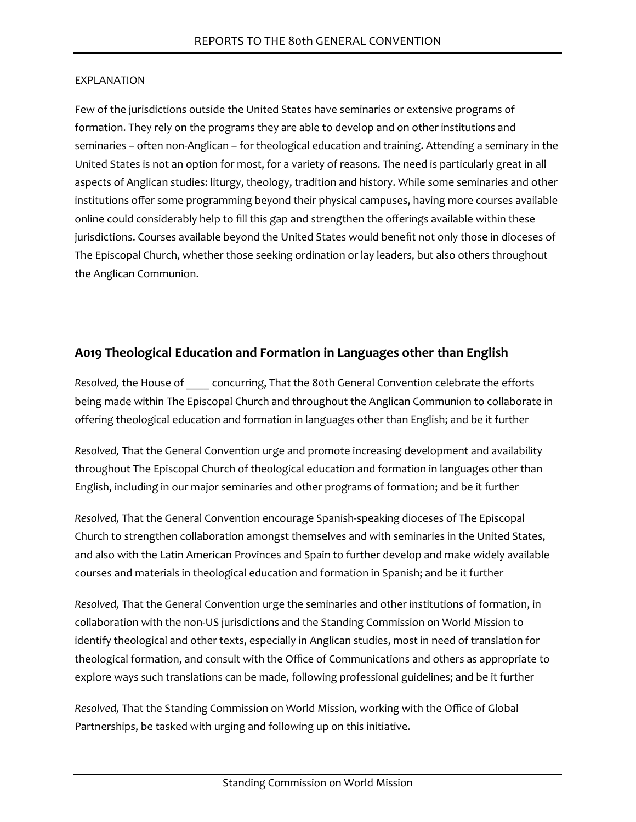Few of the jurisdictions outside the United States have seminaries or extensive programs of formation. They rely on the programs they are able to develop and on other institutions and seminaries – often non-Anglican – for theological education and training. Attending a seminary in the United States is not an option for most, for a variety of reasons. The need is particularly great in all aspects of Anglican studies: liturgy, theology, tradition and history. While some seminaries and other institutions offer some programming beyond their physical campuses, having more courses available online could considerably help to fill this gap and strengthen the offerings available within these jurisdictions. Courses available beyond the United States would benefit not only those in dioceses of The Episcopal Church, whether those seeking ordination or lay leaders, but also others throughout the Anglican Communion.

# **A019 Theological Education and Formation in Languages other than English**

*Resolved,* the House of \_\_\_\_ concurring, That the 80th General Convention celebrate the efforts being made within The Episcopal Church and throughout the Anglican Communion to collaborate in offering theological education and formation in languages other than English; and be it further

*Resolved,* That the General Convention urge and promote increasing development and availability throughout The Episcopal Church of theological education and formation in languages other than English, including in our major seminaries and other programs of formation; and be it further

*Resolved,* That the General Convention encourage Spanish-speaking dioceses of The Episcopal Church to strengthen collaboration amongst themselves and with seminaries in the United States, and also with the Latin American Provinces and Spain to further develop and make widely available courses and materials in theological education and formation in Spanish; and be it further

*Resolved,* That the General Convention urge the seminaries and other institutions of formation, in collaboration with the non-US jurisdictions and the Standing Commission on World Mission to identify theological and other texts, especially in Anglican studies, most in need of translation for theological formation, and consult with the Office of Communications and others as appropriate to explore ways such translations can be made, following professional guidelines; and be it further

*Resolved,* That the Standing Commission on World Mission, working with the Office of Global Partnerships, be tasked with urging and following up on this initiative.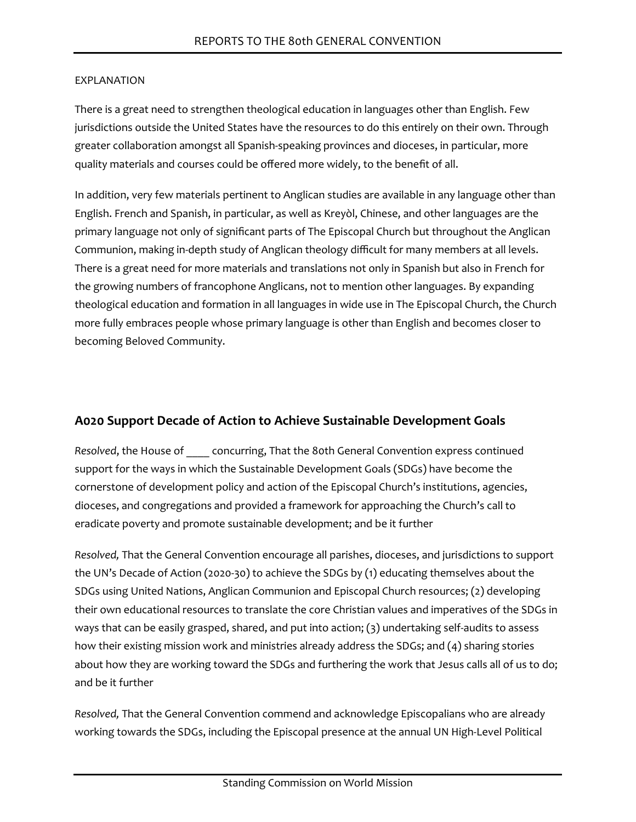There is a great need to strengthen theological education in languages other than English. Few jurisdictions outside the United States have the resources to do this entirely on their own. Through greater collaboration amongst all Spanish-speaking provinces and dioceses, in particular, more quality materials and courses could be offered more widely, to the benefit of all.

In addition, very few materials pertinent to Anglican studies are available in any language other than English. French and Spanish, in particular, as well as Kreyòl, Chinese, and other languages are the primary language not only of significant parts of The Episcopal Church but throughout the Anglican Communion, making in-depth study of Anglican theology difficult for many members at all levels. There is a great need for more materials and translations not only in Spanish but also in French for the growing numbers of francophone Anglicans, not to mention other languages. By expanding theological education and formation in all languages in wide use in The Episcopal Church, the Church more fully embraces people whose primary language is other than English and becomes closer to becoming Beloved Community.

# **A020 Support Decade of Action to Achieve Sustainable Development Goals**

*Resolved*, the House of \_\_\_\_ concurring, That the 80th General Convention express continued support for the ways in which the Sustainable Development Goals (SDGs) have become the cornerstone of development policy and action of the Episcopal Church's institutions, agencies, dioceses, and congregations and provided a framework for approaching the Church's call to eradicate poverty and promote sustainable development; and be it further

*Resolved,* That the General Convention encourage all parishes, dioceses, and jurisdictions to support the UN's Decade of Action (2020-30) to achieve the SDGs by (1) educating themselves about the SDGs using United Nations, Anglican Communion and Episcopal Church resources; (2) developing their own educational resources to translate the core Christian values and imperatives of the SDGs in ways that can be easily grasped, shared, and put into action; (3) undertaking self-audits to assess how their existing mission work and ministries already address the SDGs; and (4) sharing stories about how they are working toward the SDGs and furthering the work that Jesus calls all of us to do; and be it further

*Resolved,* That the General Convention commend and acknowledge Episcopalians who are already working towards the SDGs, including the Episcopal presence at the annual UN High-Level Political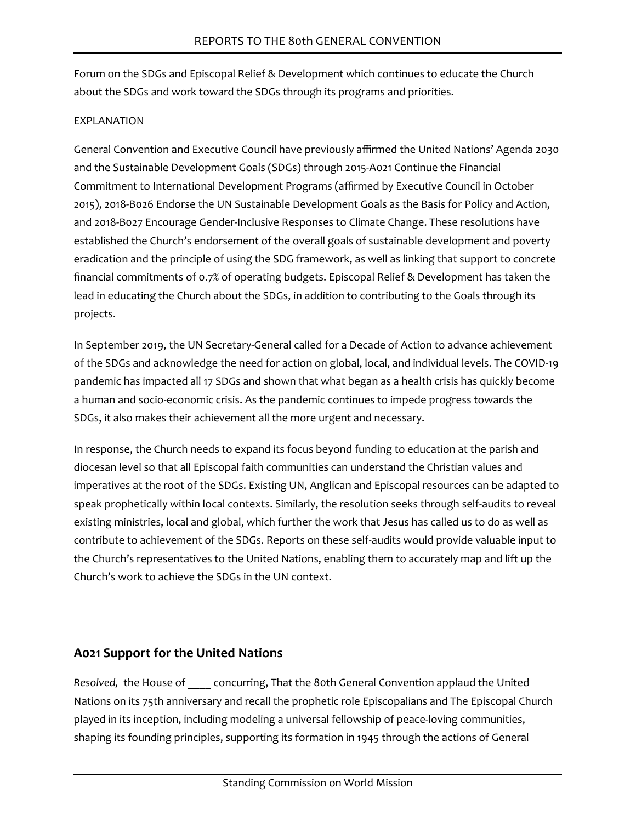Forum on the SDGs and Episcopal Relief & Development which continues to educate the Church about the SDGs and work toward the SDGs through its programs and priorities.

### EXPLANATION

General Convention and Executive Council have previously affirmed the United Nations' Agenda 2030 and the Sustainable Development Goals (SDGs) through 2015-A021 Continue the Financial Commitment to International Development Programs (affirmed by Executive Council in October 2015), 2018-B026 Endorse the UN Sustainable Development Goals as the Basis for Policy and Action, and 2018-B027 Encourage Gender-Inclusive Responses to Climate Change. These resolutions have established the Church's endorsement of the overall goals of sustainable development and poverty eradication and the principle of using the SDG framework, as well as linking that support to concrete financial commitments of 0.7% of operating budgets. Episcopal Relief & Development has taken the lead in educating the Church about the SDGs, in addition to contributing to the Goals through its projects.

In September 2019, the UN Secretary-General called for a Decade of Action to advance achievement of the SDGs and acknowledge the need for action on global, local, and individual levels. The COVID-19 pandemic has impacted all 17 SDGs and shown that what began as a health crisis has quickly become a human and socio-economic crisis. As the pandemic continues to impede progress towards the SDGs, it also makes their achievement all the more urgent and necessary.

In response, the Church needs to expand its focus beyond funding to education at the parish and diocesan level so that all Episcopal faith communities can understand the Christian values and imperatives at the root of the SDGs. Existing UN, Anglican and Episcopal resources can be adapted to speak prophetically within local contexts. Similarly, the resolution seeks through self-audits to reveal existing ministries, local and global, which further the work that Jesus has called us to do as well as contribute to achievement of the SDGs. Reports on these self-audits would provide valuable input to the Church's representatives to the United Nations, enabling them to accurately map and lift up the Church's work to achieve the SDGs in the UN context.

# **A021 Support for the United Nations**

*Resolved,* the House of \_\_\_\_ concurring, That the 80th General Convention applaud the United Nations on its 75th anniversary and recall the prophetic role Episcopalians and The Episcopal Church played in its inception, including modeling a universal fellowship of peace-loving communities, shaping its founding principles, supporting its formation in 1945 through the actions of General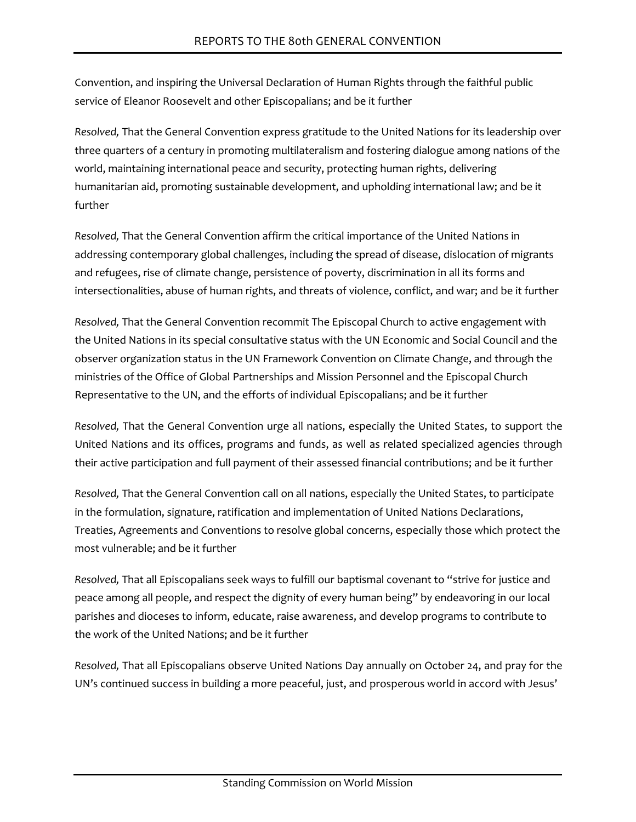Convention, and inspiring the Universal Declaration of Human Rights through the faithful public service of Eleanor Roosevelt and other Episcopalians; and be it further

*Resolved,* That the General Convention express gratitude to the United Nations for its leadership over three quarters of a century in promoting multilateralism and fostering dialogue among nations of the world, maintaining international peace and security, protecting human rights, delivering humanitarian aid, promoting sustainable development, and upholding international law; and be it further

*Resolved,* That the General Convention affirm the critical importance of the United Nations in addressing contemporary global challenges, including the spread of disease, dislocation of migrants and refugees, rise of climate change, persistence of poverty, discrimination in all its forms and intersectionalities, abuse of human rights, and threats of violence, conflict, and war; and be it further

*Resolved,* That the General Convention recommit The Episcopal Church to active engagement with the United Nations in its special consultative status with the UN Economic and Social Council and the observer organization status in the UN Framework Convention on Climate Change, and through the ministries of the Office of Global Partnerships and Mission Personnel and the Episcopal Church Representative to the UN, and the efforts of individual Episcopalians; and be it further

*Resolved,* That the General Convention urge all nations, especially the United States, to support the United Nations and its offices, programs and funds, as well as related specialized agencies through their active participation and full payment of their assessed financial contributions; and be it further

*Resolved,* That the General Convention call on all nations, especially the United States, to participate in the formulation, signature, ratification and implementation of United Nations Declarations, Treaties, Agreements and Conventions to resolve global concerns, especially those which protect the most vulnerable; and be it further

*Resolved,* That all Episcopalians seek ways to fulfill our baptismal covenant to "strive for justice and peace among all people, and respect the dignity of every human being" by endeavoring in our local parishes and dioceses to inform, educate, raise awareness, and develop programs to contribute to the work of the United Nations; and be it further

*Resolved,* That all Episcopalians observe United Nations Day annually on October 24, and pray for the UN's continued success in building a more peaceful, just, and prosperous world in accord with Jesus'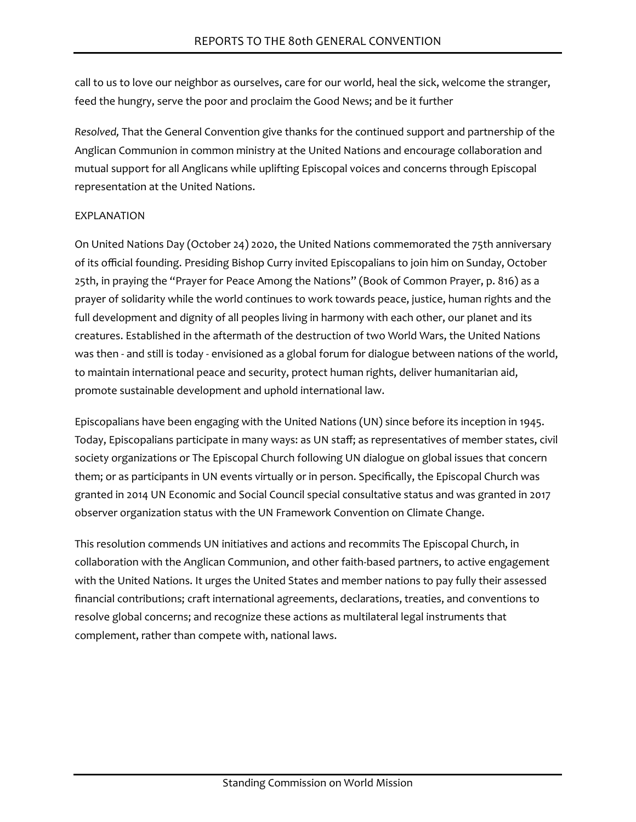call to us to love our neighbor as ourselves, care for our world, heal the sick, welcome the stranger, feed the hungry, serve the poor and proclaim the Good News; and be it further

*Resolved,* That the General Convention give thanks for the continued support and partnership of the Anglican Communion in common ministry at the United Nations and encourage collaboration and mutual support for all Anglicans while uplifting Episcopal voices and concerns through Episcopal representation at the United Nations.

#### EXPLANATION

On United Nations Day (October 24) 2020, the United Nations commemorated the 75th anniversary of its official founding. Presiding Bishop Curry invited Episcopalians to join him on Sunday, October 25th, in praying the "Prayer for Peace Among the Nations" (Book of Common Prayer, p. 816) as a prayer of solidarity while the world continues to work towards peace, justice, human rights and the full development and dignity of all peoples living in harmony with each other, our planet and its creatures. Established in the aftermath of the destruction of two World Wars, the United Nations was then - and still is today - envisioned as a global forum for dialogue between nations of the world, to maintain international peace and security, protect human rights, deliver humanitarian aid, promote sustainable development and uphold international law.

Episcopalians have been engaging with the United Nations (UN) since before its inception in 1945. Today, Episcopalians participate in many ways: as UN staff; as representatives of member states, civil society organizations or The Episcopal Church following UN dialogue on global issues that concern them; or as participants in UN events virtually or in person. Specifically, the Episcopal Church was granted in 2014 UN Economic and Social Council special consultative status and was granted in 2017 observer organization status with the UN Framework Convention on Climate Change.

This resolution commends UN initiatives and actions and recommits The Episcopal Church, in collaboration with the Anglican Communion, and other faith-based partners, to active engagement with the United Nations. It urges the United States and member nations to pay fully their assessed financial contributions; craft international agreements, declarations, treaties, and conventions to resolve global concerns; and recognize these actions as multilateral legal instruments that complement, rather than compete with, national laws.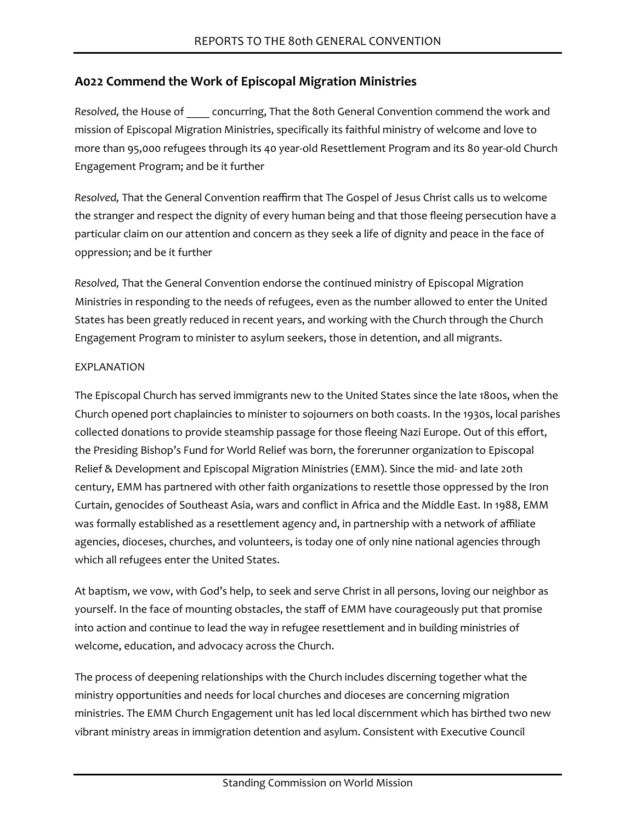# **A022 Commend the Work of Episcopal Migration Ministries**

*Resolved,* the House of \_\_\_\_ concurring, That the 80th General Convention commend the work and mission of Episcopal Migration Ministries, specifically its faithful ministry of welcome and love to more than 95,000 refugees through its 40 year-old Resettlement Program and its 80 year-old Church Engagement Program; and be it further

*Resolved,* That the General Convention reaffirm that The Gospel of Jesus Christ calls us to welcome the stranger and respect the dignity of every human being and that those fleeing persecution have a particular claim on our attention and concern as they seek a life of dignity and peace in the face of oppression; and be it further

*Resolved,* That the General Convention endorse the continued ministry of Episcopal Migration Ministries in responding to the needs of refugees, even as the number allowed to enter the United States has been greatly reduced in recent years, and working with the Church through the Church Engagement Program to minister to asylum seekers, those in detention, and all migrants.

#### EXPLANATION

The Episcopal Church has served immigrants new to the United States since the late 1800s, when the Church opened port chaplaincies to minister to sojourners on both coasts. In the 1930s, local parishes collected donations to provide steamship passage for those fleeing Nazi Europe. Out of this effort, the Presiding Bishop's Fund for World Relief was born, the forerunner organization to Episcopal Relief & Development and Episcopal Migration Ministries (EMM). Since the mid- and late 20th century, EMM has partnered with other faith organizations to resettle those oppressed by the Iron Curtain, genocides of Southeast Asia, wars and conflict in Africa and the Middle East. In 1988, EMM was formally established as a resettlement agency and, in partnership with a network of affiliate agencies, dioceses, churches, and volunteers, is today one of only nine national agencies through which all refugees enter the United States.

At baptism, we vow, with God's help, to seek and serve Christ in all persons, loving our neighbor as yourself. In the face of mounting obstacles, the staff of EMM have courageously put that promise into action and continue to lead the way in refugee resettlement and in building ministries of welcome, education, and advocacy across the Church.

The process of deepening relationships with the Church includes discerning together what the ministry opportunities and needs for local churches and dioceses are concerning migration ministries. The EMM Church Engagement unit has led local discernment which has birthed two new vibrant ministry areas in immigration detention and asylum. Consistent with Executive Council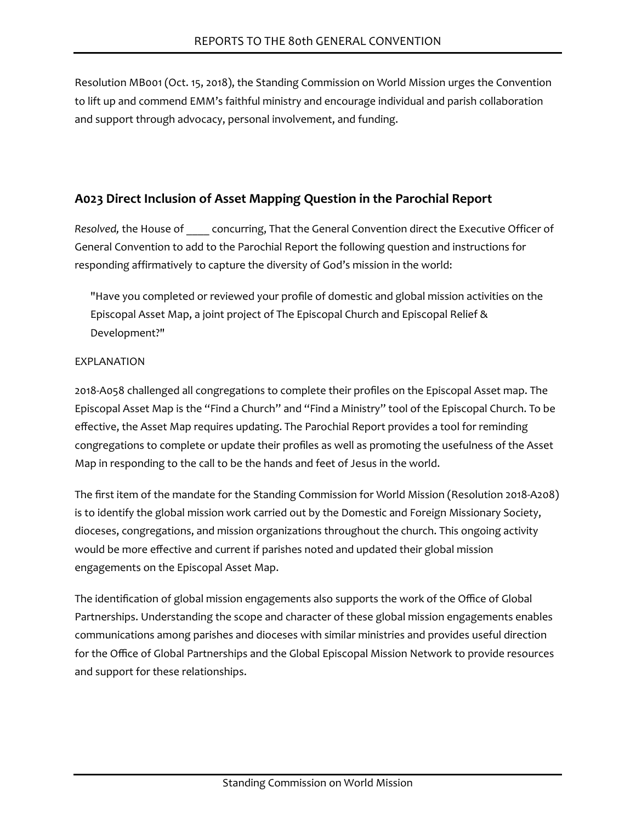Resolution MB001 (Oct. 15, 2018), the Standing Commission on World Mission urges the Convention to lift up and commend EMM's faithful ministry and encourage individual and parish collaboration and support through advocacy, personal involvement, and funding.

# **A023 Direct Inclusion of Asset Mapping Question in the Parochial Report**

*Resolved,* the House of \_\_\_\_ concurring, That the General Convention direct the Executive Officer of General Convention to add to the Parochial Report the following question and instructions for responding affirmatively to capture the diversity of God's mission in the world:

"Have you completed or reviewed your profile of domestic and global mission activities on the Episcopal Asset Map, a joint project of The Episcopal Church and Episcopal Relief & Development?"

### EXPLANATION

2018-A058 challenged all congregations to complete their profiles on the Episcopal Asset map. The Episcopal Asset Map is the "Find a Church" and "Find a Ministry" tool of the Episcopal Church. To be effective, the Asset Map requires updating. The Parochial Report provides a tool for reminding congregations to complete or update their profiles as well as promoting the usefulness of the Asset Map in responding to the call to be the hands and feet of Jesus in the world.

The first item of the mandate for the Standing Commission for World Mission (Resolution 2018-A208) is to identify the global mission work carried out by the Domestic and Foreign Missionary Society, dioceses, congregations, and mission organizations throughout the church. This ongoing activity would be more effective and current if parishes noted and updated their global mission engagements on the Episcopal Asset Map.

The identification of global mission engagements also supports the work of the Office of Global Partnerships. Understanding the scope and character of these global mission engagements enables communications among parishes and dioceses with similar ministries and provides useful direction for the Office of Global Partnerships and the Global Episcopal Mission Network to provide resources and support for these relationships.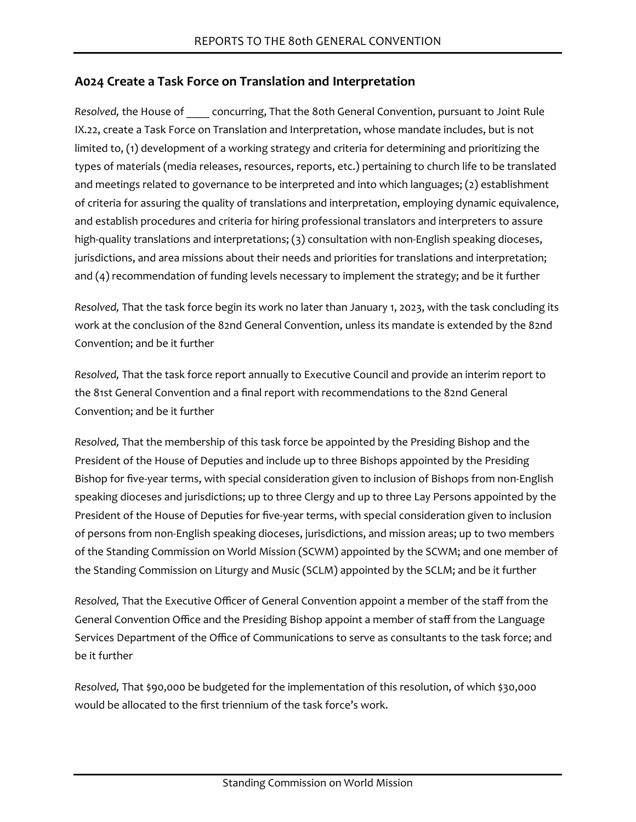# **A024 Create a Task Force on Translation and Interpretation**

*Resolved,* the House of \_\_\_\_ concurring, That the 80th General Convention, pursuant to Joint Rule IX.22, create a Task Force on Translation and Interpretation, whose mandate includes, but is not limited to, (1) development of a working strategy and criteria for determining and prioritizing the types of materials (media releases, resources, reports, etc.) pertaining to church life to be translated and meetings related to governance to be interpreted and into which languages; (2) establishment of criteria for assuring the quality of translations and interpretation, employing dynamic equivalence, and establish procedures and criteria for hiring professional translators and interpreters to assure high-quality translations and interpretations; (3) consultation with non-English speaking dioceses, jurisdictions, and area missions about their needs and priorities for translations and interpretation; and (4) recommendation of funding levels necessary to implement the strategy; and be it further

*Resolved,* That the task force begin its work no later than January 1, 2023, with the task concluding its work at the conclusion of the 82nd General Convention, unless its mandate is extended by the 82nd Convention; and be it further

*Resolved,* That the task force report annually to Executive Council and provide an interim report to the 81st General Convention and a final report with recommendations to the 82nd General Convention; and be it further

*Resolved,* That the membership of this task force be appointed by the Presiding Bishop and the President of the House of Deputies and include up to three Bishops appointed by the Presiding Bishop for five-year terms, with special consideration given to inclusion of Bishops from non-English speaking dioceses and jurisdictions; up to three Clergy and up to three Lay Persons appointed by the President of the House of Deputies for five-year terms, with special consideration given to inclusion of persons from non-English speaking dioceses, jurisdictions, and mission areas; up to two members of the Standing Commission on World Mission (SCWM) appointed by the SCWM; and one member of the Standing Commission on Liturgy and Music (SCLM) appointed by the SCLM; and be it further

*Resolved,* That the Executive Officer of General Convention appoint a member of the staff from the General Convention Office and the Presiding Bishop appoint a member of staff from the Language Services Department of the Office of Communications to serve as consultants to the task force; and be it further

*Resolved,* That \$90,000 be budgeted for the implementation of this resolution, of which \$30,000 would be allocated to the first triennium of the task force's work.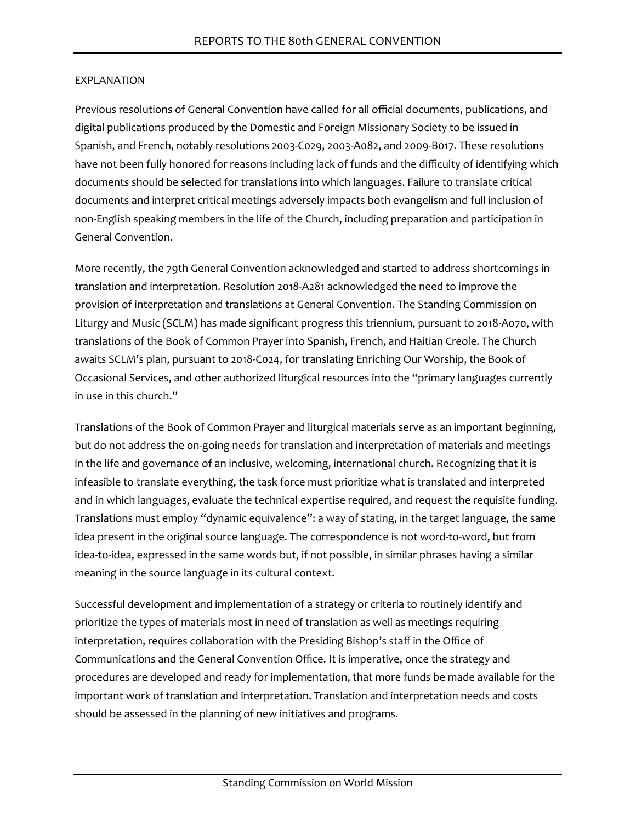Previous resolutions of General Convention have called for all official documents, publications, and digital publications produced by the Domestic and Foreign Missionary Society to be issued in Spanish, and French, notably resolutions 2003-C029, 2003-A082, and 2009-B017. These resolutions have not been fully honored for reasons including lack of funds and the difficulty of identifying which documents should be selected for translations into which languages. Failure to translate critical documents and interpret critical meetings adversely impacts both evangelism and full inclusion of non-English speaking members in the life of the Church, including preparation and participation in General Convention.

More recently, the 79th General Convention acknowledged and started to address shortcomings in translation and interpretation. Resolution 2018-A281 acknowledged the need to improve the provision of interpretation and translations at General Convention. The Standing Commission on Liturgy and Music (SCLM) has made significant progress this triennium, pursuant to 2018-A070, with translations of the Book of Common Prayer into Spanish, French, and Haitian Creole. The Church awaits SCLM's plan, pursuant to 2018-C024, for translating Enriching Our Worship, the Book of Occasional Services, and other authorized liturgical resources into the "primary languages currently in use in this church."

Translations of the Book of Common Prayer and liturgical materials serve as an important beginning, but do not address the on-going needs for translation and interpretation of materials and meetings in the life and governance of an inclusive, welcoming, international church. Recognizing that it is infeasible to translate everything, the task force must prioritize what is translated and interpreted and in which languages, evaluate the technical expertise required, and request the requisite funding. Translations must employ "dynamic equivalence": a way of stating, in the target language, the same idea present in the original source language. The correspondence is not word-to-word, but from idea-to-idea, expressed in the same words but, if not possible, in similar phrases having a similar meaning in the source language in its cultural context.

Successful development and implementation of a strategy or criteria to routinely identify and prioritize the types of materials most in need of translation as well as meetings requiring interpretation, requires collaboration with the Presiding Bishop's staff in the Office of Communications and the General Convention Office. It is imperative, once the strategy and procedures are developed and ready for implementation, that more funds be made available for the important work of translation and interpretation. Translation and interpretation needs and costs should be assessed in the planning of new initiatives and programs.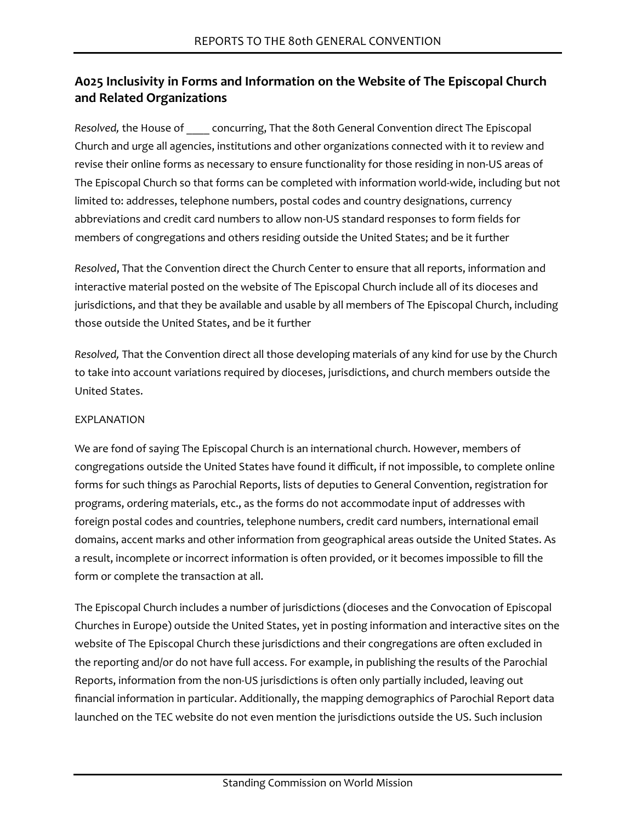# **A025 Inclusivity in Forms and Information on the Website of The Episcopal Church and Related Organizations**

*Resolved,* the House of \_\_\_\_ concurring, That the 80th General Convention direct The Episcopal Church and urge all agencies, institutions and other organizations connected with it to review and revise their online forms as necessary to ensure functionality for those residing in non-US areas of The Episcopal Church so that forms can be completed with information world-wide, including but not limited to: addresses, telephone numbers, postal codes and country designations, currency abbreviations and credit card numbers to allow non-US standard responses to form fields for members of congregations and others residing outside the United States; and be it further

*Resolved*, That the Convention direct the Church Center to ensure that all reports, information and interactive material posted on the website of The Episcopal Church include all of its dioceses and jurisdictions, and that they be available and usable by all members of The Episcopal Church, including those outside the United States, and be it further

*Resolved,* That the Convention direct all those developing materials of any kind for use by the Church to take into account variations required by dioceses, jurisdictions, and church members outside the United States.

#### **FXPI ANATION**

We are fond of saying The Episcopal Church is an international church. However, members of congregations outside the United States have found it difficult, if not impossible, to complete online forms for such things as Parochial Reports, lists of deputies to General Convention, registration for programs, ordering materials, etc., as the forms do not accommodate input of addresses with foreign postal codes and countries, telephone numbers, credit card numbers, international email domains, accent marks and other information from geographical areas outside the United States. As a result, incomplete or incorrect information is often provided, or it becomes impossible to fill the form or complete the transaction at all.

The Episcopal Church includes a number of jurisdictions (dioceses and the Convocation of Episcopal Churches in Europe) outside the United States, yet in posting information and interactive sites on the website of The Episcopal Church these jurisdictions and their congregations are often excluded in the reporting and/or do not have full access. For example, in publishing the results of the Parochial Reports, information from the non-US jurisdictions is often only partially included, leaving out financial information in particular. Additionally, the mapping demographics of Parochial Report data launched on the TEC website do not even mention the jurisdictions outside the US. Such inclusion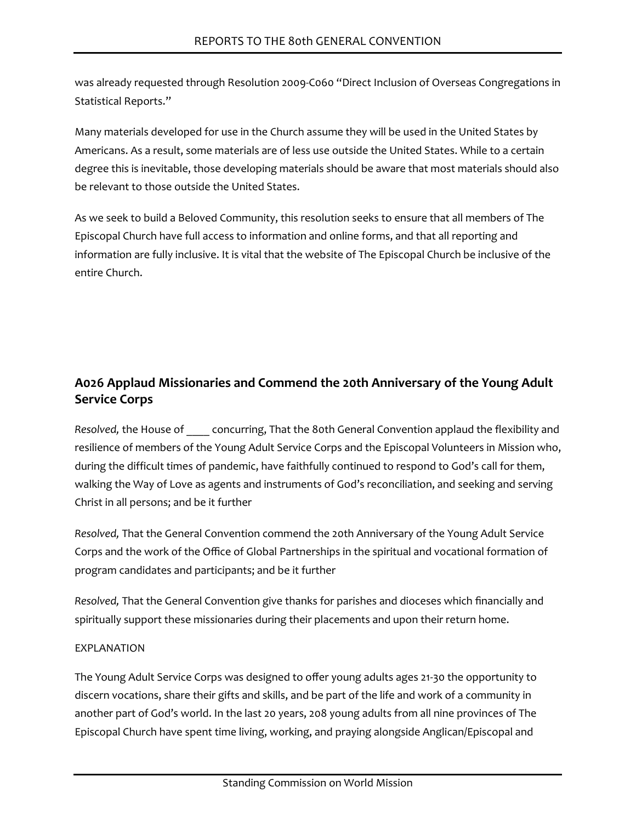was already requested through Resolution 2009-C060 "Direct Inclusion of Overseas Congregations in Statistical Reports."

Many materials developed for use in the Church assume they will be used in the United States by Americans. As a result, some materials are of less use outside the United States. While to a certain degree this is inevitable, those developing materials should be aware that most materials should also be relevant to those outside the United States.

As we seek to build a Beloved Community, this resolution seeks to ensure that all members of The Episcopal Church have full access to information and online forms, and that all reporting and information are fully inclusive. It is vital that the website of The Episcopal Church be inclusive of the entire Church.

# **A026 Applaud Missionaries and Commend the 20th Anniversary of the Young Adult Service Corps**

*Resolved,* the House of \_\_\_\_ concurring, That the 80th General Convention applaud the flexibility and resilience of members of the Young Adult Service Corps and the Episcopal Volunteers in Mission who, during the difficult times of pandemic, have faithfully continued to respond to God's call for them, walking the Way of Love as agents and instruments of God's reconciliation, and seeking and serving Christ in all persons; and be it further

*Resolved,* That the General Convention commend the 20th Anniversary of the Young Adult Service Corps and the work of the Office of Global Partnerships in the spiritual and vocational formation of program candidates and participants; and be it further

*Resolved,* That the General Convention give thanks for parishes and dioceses which financially and spiritually support these missionaries during their placements and upon their return home.

# **FXPI ANATION**

The Young Adult Service Corps was designed to offer young adults ages 21-30 the opportunity to discern vocations, share their gifts and skills, and be part of the life and work of a community in another part of God's world. In the last 20 years, 208 young adults from all nine provinces of The Episcopal Church have spent time living, working, and praying alongside Anglican/Episcopal and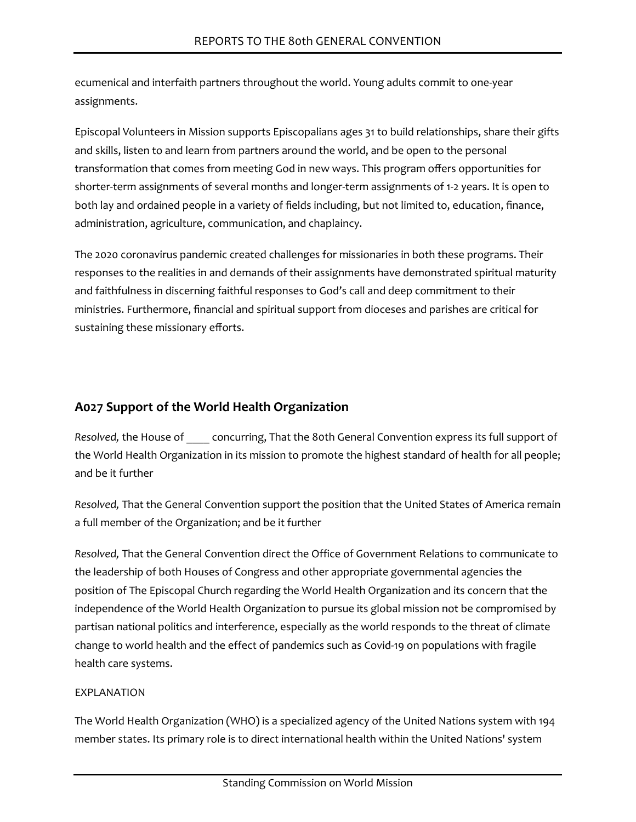ecumenical and interfaith partners throughout the world. Young adults commit to one-year assignments.

Episcopal Volunteers in Mission supports Episcopalians ages 31 to build relationships, share their gifts and skills, listen to and learn from partners around the world, and be open to the personal transformation that comes from meeting God in new ways. This program offers opportunities for shorter-term assignments of several months and longer-term assignments of 1-2 years. It is open to both lay and ordained people in a variety of fields including, but not limited to, education, finance, administration, agriculture, communication, and chaplaincy.

The 2020 coronavirus pandemic created challenges for missionaries in both these programs. Their responses to the realities in and demands of their assignments have demonstrated spiritual maturity and faithfulness in discerning faithful responses to God's call and deep commitment to their ministries. Furthermore, financial and spiritual support from dioceses and parishes are critical for sustaining these missionary efforts.

# **A027 Support of the World Health Organization**

*Resolved,* the House of \_\_\_\_ concurring, That the 80th General Convention express its full support of the World Health Organization in its mission to promote the highest standard of health for all people; and be it further

*Resolved,* That the General Convention support the position that the United States of America remain a full member of the Organization; and be it further

*Resolved,* That the General Convention direct the Office of Government Relations to communicate to the leadership of both Houses of Congress and other appropriate governmental agencies the position of The Episcopal Church regarding the World Health Organization and its concern that the independence of the World Health Organization to pursue its global mission not be compromised by partisan national politics and interference, especially as the world responds to the threat of climate change to world health and the effect of pandemics such as Covid-19 on populations with fragile health care systems.

# EXPLANATION

The World Health Organization (WHO) is a specialized agency of the United Nations system with 194 member states. Its primary role is to direct international health within the United Nations' system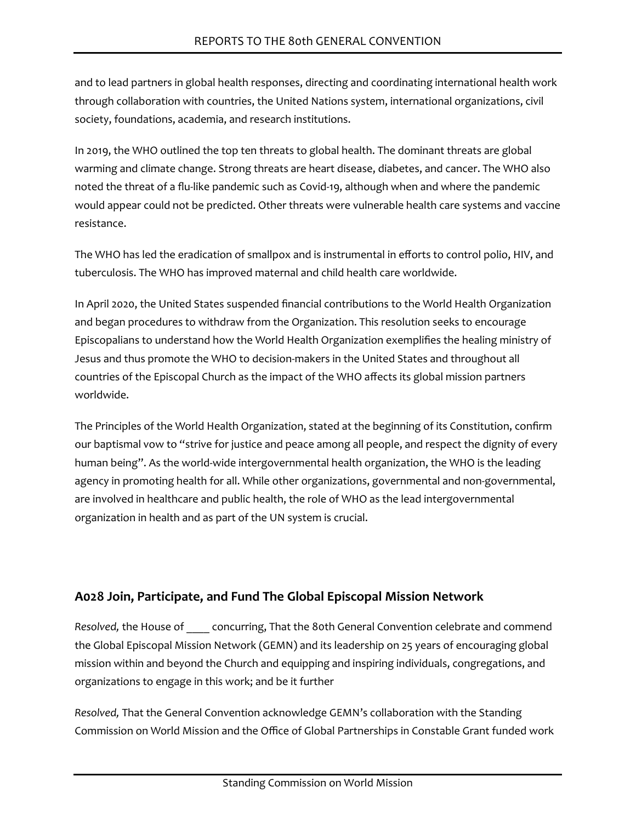and to lead partners in global health responses, directing and coordinating international health work through collaboration with countries, the United Nations system, international organizations, civil society, foundations, academia, and research institutions.

In 2019, the WHO outlined the top ten threats to global health. The dominant threats are global warming and climate change. Strong threats are heart disease, diabetes, and cancer. The WHO also noted the threat of a flu-like pandemic such as Covid-19, although when and where the pandemic would appear could not be predicted. Other threats were vulnerable health care systems and vaccine resistance.

The WHO has led the eradication of smallpox and is instrumental in efforts to control polio, HIV, and tuberculosis. The WHO has improved maternal and child health care worldwide.

In April 2020, the United States suspended financial contributions to the World Health Organization and began procedures to withdraw from the Organization. This resolution seeks to encourage Episcopalians to understand how the World Health Organization exemplifies the healing ministry of Jesus and thus promote the WHO to decision-makers in the United States and throughout all countries of the Episcopal Church as the impact of the WHO affects its global mission partners worldwide.

The Principles of the World Health Organization, stated at the beginning of its Constitution, confirm our baptismal vow to "strive for justice and peace among all people, and respect the dignity of every human being". As the world-wide intergovernmental health organization, the WHO is the leading agency in promoting health for all. While other organizations, governmental and non-governmental, are involved in healthcare and public health, the role of WHO as the lead intergovernmental organization in health and as part of the UN system is crucial.

# **A028 Join, Participate, and Fund The Global Episcopal Mission Network**

*Resolved,* the House of \_\_\_\_ concurring, That the 80th General Convention celebrate and commend the Global Episcopal Mission Network (GEMN) and its leadership on 25 years of encouraging global mission within and beyond the Church and equipping and inspiring individuals, congregations, and organizations to engage in this work; and be it further

*Resolved,* That the General Convention acknowledge GEMN's collaboration with the Standing Commission on World Mission and the Office of Global Partnerships in Constable Grant funded work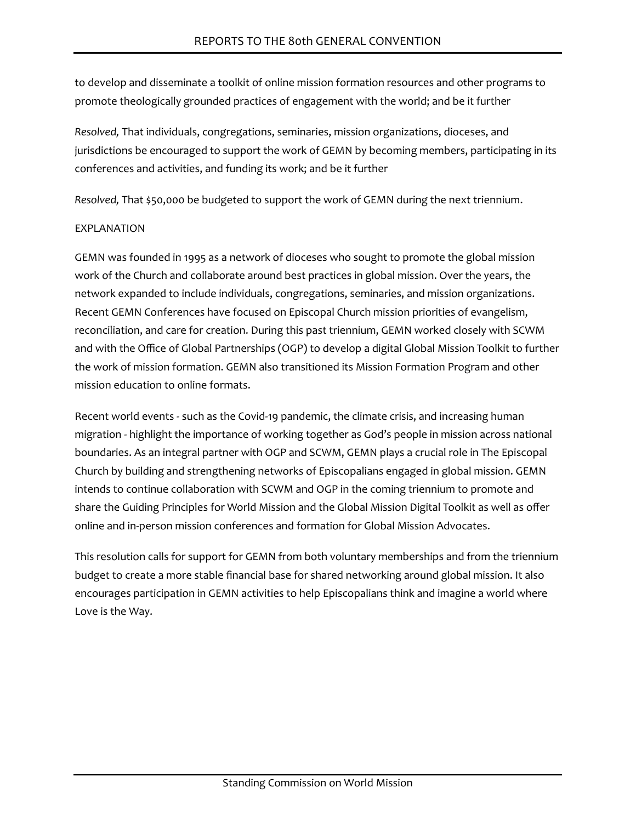to develop and disseminate a toolkit of online mission formation resources and other programs to promote theologically grounded practices of engagement with the world; and be it further

*Resolved,* That individuals, congregations, seminaries, mission organizations, dioceses, and jurisdictions be encouraged to support the work of GEMN by becoming members, participating in its conferences and activities, and funding its work; and be it further

*Resolved,* That \$50,000 be budgeted to support the work of GEMN during the next triennium.

#### EXPLANATION

GEMN was founded in 1995 as a network of dioceses who sought to promote the global mission work of the Church and collaborate around best practices in global mission. Over the years, the network expanded to include individuals, congregations, seminaries, and mission organizations. Recent GEMN Conferences have focused on Episcopal Church mission priorities of evangelism, reconciliation, and care for creation. During this past triennium, GEMN worked closely with SCWM and with the Office of Global Partnerships (OGP) to develop a digital Global Mission Toolkit to further the work of mission formation. GEMN also transitioned its Mission Formation Program and other mission education to online formats.

Recent world events - such as the Covid-19 pandemic, the climate crisis, and increasing human migration - highlight the importance of working together as God's people in mission across national boundaries. As an integral partner with OGP and SCWM, GEMN plays a crucial role in The Episcopal Church by building and strengthening networks of Episcopalians engaged in global mission. GEMN intends to continue collaboration with SCWM and OGP in the coming triennium to promote and share the Guiding Principles for World Mission and the Global Mission Digital Toolkit as well as offer online and in-person mission conferences and formation for Global Mission Advocates.

This resolution calls for support for GEMN from both voluntary memberships and from the triennium budget to create a more stable financial base for shared networking around global mission. It also encourages participation in GEMN activities to help Episcopalians think and imagine a world where Love is the Way.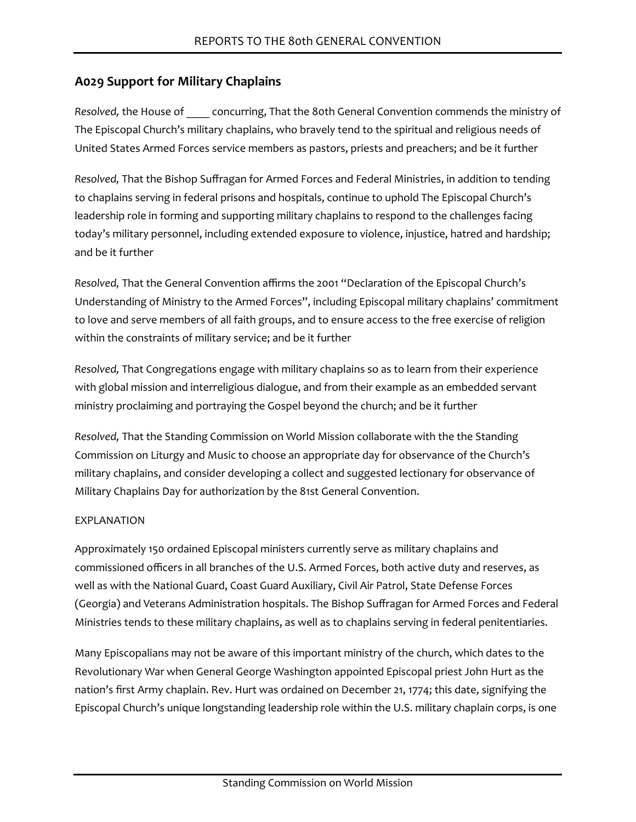# **A029 Support for Military Chaplains**

*Resolved,* the House of \_\_\_\_ concurring, That the 80th General Convention commends the ministry of The Episcopal Church's military chaplains, who bravely tend to the spiritual and religious needs of United States Armed Forces service members as pastors, priests and preachers; and be it further

*Resolved,* That the Bishop Suffragan for Armed Forces and Federal Ministries, in addition to tending to chaplains serving in federal prisons and hospitals, continue to uphold The Episcopal Church's leadership role in forming and supporting military chaplains to respond to the challenges facing today's military personnel, including extended exposure to violence, injustice, hatred and hardship; and be it further

*Resolved,* That the General Convention affirms the 2001 "Declaration of the Episcopal Church's Understanding of Ministry to the Armed Forces", including Episcopal military chaplains' commitment to love and serve members of all faith groups, and to ensure access to the free exercise of religion within the constraints of military service; and be it further

*Resolved,* That Congregations engage with military chaplains so as to learn from their experience with global mission and interreligious dialogue, and from their example as an embedded servant ministry proclaiming and portraying the Gospel beyond the church; and be it further

*Resolved,* That the Standing Commission on World Mission collaborate with the the Standing Commission on Liturgy and Music to choose an appropriate day for observance of the Church's military chaplains, and consider developing a collect and suggested lectionary for observance of Military Chaplains Day for authorization by the 81st General Convention.

#### EXPLANATION

Approximately 150 ordained Episcopal ministers currently serve as military chaplains and commissioned officers in all branches of the U.S. Armed Forces, both active duty and reserves, as well as with the National Guard, Coast Guard Auxiliary, Civil Air Patrol, State Defense Forces (Georgia) and Veterans Administration hospitals. The Bishop Suffragan for Armed Forces and Federal Ministries tends to these military chaplains, as well as to chaplains serving in federal penitentiaries.

Many Episcopalians may not be aware of this important ministry of the church, which dates to the Revolutionary War when General George Washington appointed Episcopal priest John Hurt as the nation's first Army chaplain. Rev. Hurt was ordained on December 21, 1774; this date, signifying the Episcopal Church's unique longstanding leadership role within the U.S. military chaplain corps, is one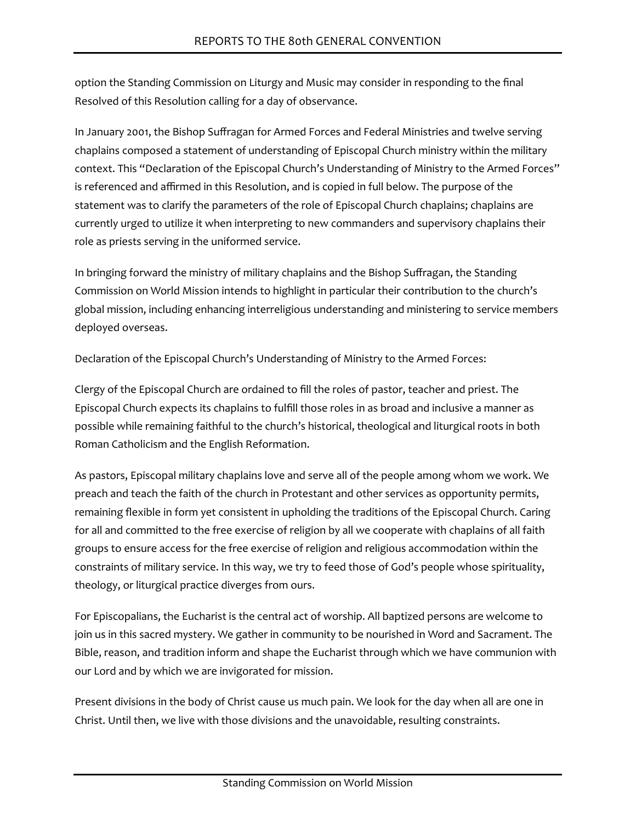option the Standing Commission on Liturgy and Music may consider in responding to the final Resolved of this Resolution calling for a day of observance.

In January 2001, the Bishop Suffragan for Armed Forces and Federal Ministries and twelve serving chaplains composed a statement of understanding of Episcopal Church ministry within the military context. This "Declaration of the Episcopal Church's Understanding of Ministry to the Armed Forces" is referenced and affirmed in this Resolution, and is copied in full below. The purpose of the statement was to clarify the parameters of the role of Episcopal Church chaplains; chaplains are currently urged to utilize it when interpreting to new commanders and supervisory chaplains their role as priests serving in the uniformed service.

In bringing forward the ministry of military chaplains and the Bishop Suffragan, the Standing Commission on World Mission intends to highlight in particular their contribution to the church's global mission, including enhancing interreligious understanding and ministering to service members deployed overseas.

Declaration of the Episcopal Church's Understanding of Ministry to the Armed Forces:

Clergy of the Episcopal Church are ordained to fill the roles of pastor, teacher and priest. The Episcopal Church expects its chaplains to fulfill those roles in as broad and inclusive a manner as possible while remaining faithful to the church's historical, theological and liturgical roots in both Roman Catholicism and the English Reformation.

As pastors, Episcopal military chaplains love and serve all of the people among whom we work. We preach and teach the faith of the church in Protestant and other services as opportunity permits, remaining flexible in form yet consistent in upholding the traditions of the Episcopal Church. Caring for all and committed to the free exercise of religion by all we cooperate with chaplains of all faith groups to ensure access for the free exercise of religion and religious accommodation within the constraints of military service. In this way, we try to feed those of God's people whose spirituality, theology, or liturgical practice diverges from ours.

For Episcopalians, the Eucharist is the central act of worship. All baptized persons are welcome to join us in this sacred mystery. We gather in community to be nourished in Word and Sacrament. The Bible, reason, and tradition inform and shape the Eucharist through which we have communion with our Lord and by which we are invigorated for mission.

Present divisions in the body of Christ cause us much pain. We look for the day when all are one in Christ. Until then, we live with those divisions and the unavoidable, resulting constraints.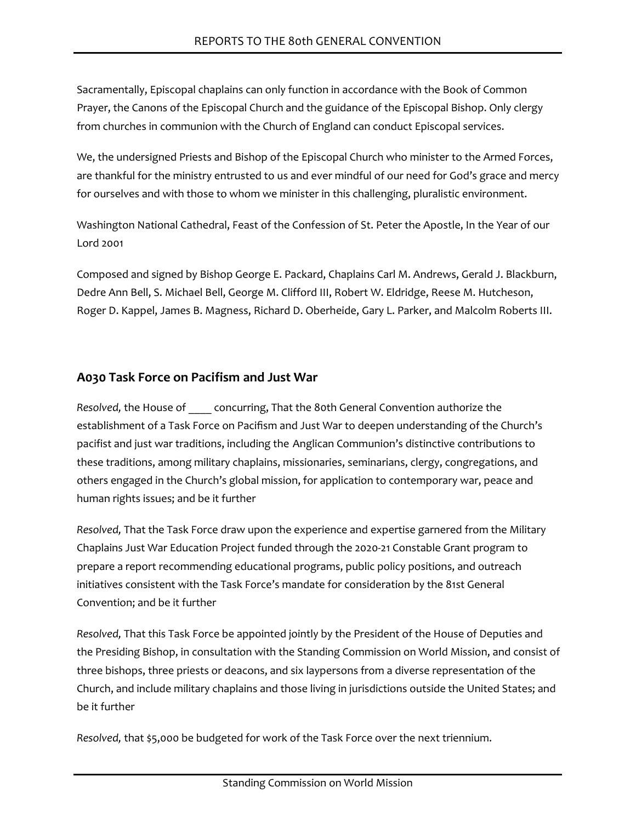Sacramentally, Episcopal chaplains can only function in accordance with the Book of Common Prayer, the Canons of the Episcopal Church and the guidance of the Episcopal Bishop. Only clergy from churches in communion with the Church of England can conduct Episcopal services.

We, the undersigned Priests and Bishop of the Episcopal Church who minister to the Armed Forces, are thankful for the ministry entrusted to us and ever mindful of our need for God's grace and mercy for ourselves and with those to whom we minister in this challenging, pluralistic environment.

Washington National Cathedral, Feast of the Confession of St. Peter the Apostle, In the Year of our Lord 2001

Composed and signed by Bishop George E. Packard, Chaplains Carl M. Andrews, Gerald J. Blackburn, Dedre Ann Bell, S. Michael Bell, George M. Clifford III, Robert W. Eldridge, Reese M. Hutcheson, Roger D. Kappel, James B. Magness, Richard D. Oberheide, Gary L. Parker, and Malcolm Roberts III.

# **A030 Task Force on Pacifism and Just War**

*Resolved,* the House of \_\_\_\_ concurring, That the 80th General Convention authorize the establishment of a Task Force on Pacifism and Just War to deepen understanding of the Church's pacifist and just war traditions, including the Anglican Communion's distinctive contributions to these traditions, among military chaplains, missionaries, seminarians, clergy, congregations, and others engaged in the Church's global mission, for application to contemporary war, peace and human rights issues; and be it further

*Resolved,* That the Task Force draw upon the experience and expertise garnered from the Military Chaplains Just War Education Project funded through the 2020-21 Constable Grant program to prepare a report recommending educational programs, public policy positions, and outreach initiatives consistent with the Task Force's mandate for consideration by the 81st General Convention; and be it further

*Resolved,* That this Task Force be appointed jointly by the President of the House of Deputies and the Presiding Bishop, in consultation with the Standing Commission on World Mission, and consist of three bishops, three priests or deacons, and six laypersons from a diverse representation of the Church, and include military chaplains and those living in jurisdictions outside the United States; and be it further

*Resolved,* that \$5,000 be budgeted for work of the Task Force over the next triennium.